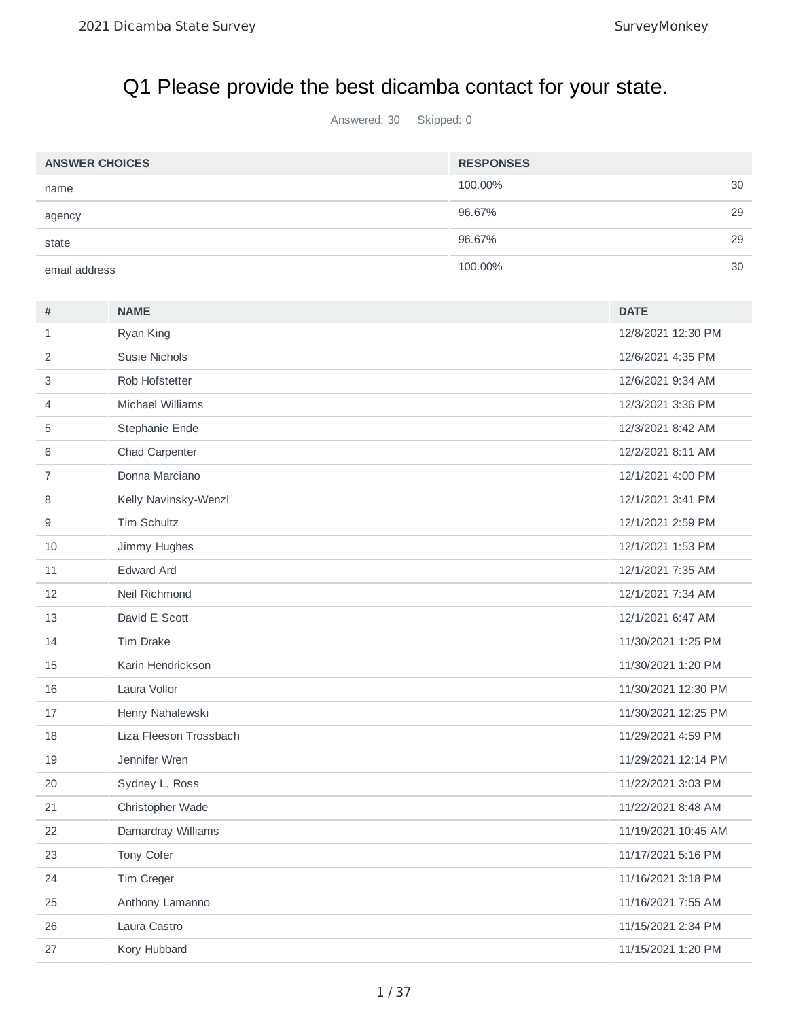# Q1 Please provide the best dicamba contact for your state.

Answered: 30 Skipped: 0

| <b>ANSWER CHOICES</b> | <b>RESPONSES</b> |    |
|-----------------------|------------------|----|
| name                  | 100.00%          | 30 |
| agency                | 96.67%           | 29 |
| state                 | 96.67%           | 29 |
| email address         | 100.00%          | 30 |

| #              | <b>NAME</b>            | <b>DATE</b>         |
|----------------|------------------------|---------------------|
| $\mathbf{1}$   | Ryan King              | 12/8/2021 12:30 PM  |
| $\overline{c}$ | Susie Nichols          | 12/6/2021 4:35 PM   |
| 3              | Rob Hofstetter         | 12/6/2021 9:34 AM   |
| 4              | Michael Williams       | 12/3/2021 3:36 PM   |
| 5              | Stephanie Ende         | 12/3/2021 8:42 AM   |
| 6              | Chad Carpenter         | 12/2/2021 8:11 AM   |
| $\overline{7}$ | Donna Marciano         | 12/1/2021 4:00 PM   |
| 8              | Kelly Navinsky-Wenzl   | 12/1/2021 3:41 PM   |
| 9              | <b>Tim Schultz</b>     | 12/1/2021 2:59 PM   |
| 10             | Jimmy Hughes           | 12/1/2021 1:53 PM   |
| 11             | <b>Edward Ard</b>      | 12/1/2021 7:35 AM   |
| 12             | Neil Richmond          | 12/1/2021 7:34 AM   |
| 13             | David E Scott          | 12/1/2021 6:47 AM   |
| 14             | <b>Tim Drake</b>       | 11/30/2021 1:25 PM  |
| 15             | Karin Hendrickson      | 11/30/2021 1:20 PM  |
| 16             | Laura Vollor           | 11/30/2021 12:30 PM |
| 17             | Henry Nahalewski       | 11/30/2021 12:25 PM |
| 18             | Liza Fleeson Trossbach | 11/29/2021 4:59 PM  |
| 19             | Jennifer Wren          | 11/29/2021 12:14 PM |
| 20             | Sydney L. Ross         | 11/22/2021 3:03 PM  |
| 21             | Christopher Wade       | 11/22/2021 8:48 AM  |
| 22             | Damardray Williams     | 11/19/2021 10:45 AM |
| 23             | Tony Cofer             | 11/17/2021 5:16 PM  |
| 24             | Tim Creger             | 11/16/2021 3:18 PM  |
| 25             | Anthony Lamanno        | 11/16/2021 7:55 AM  |
| 26             | Laura Castro           | 11/15/2021 2:34 PM  |
| 27             | Kory Hubbard           | 11/15/2021 1:20 PM  |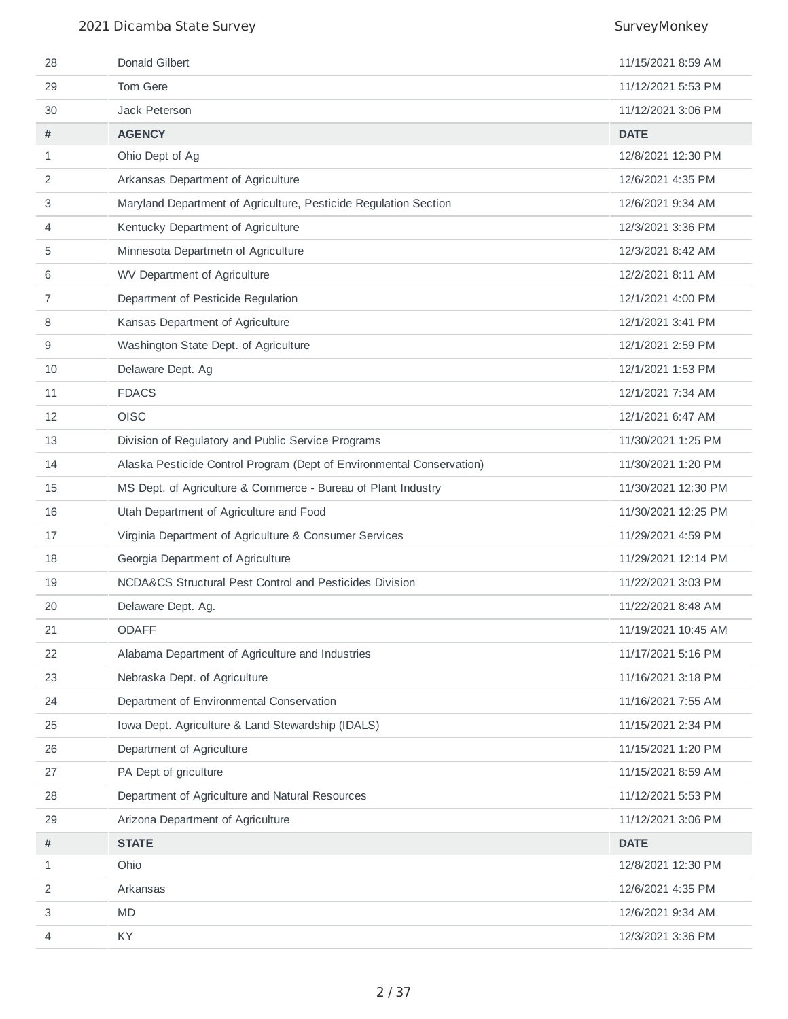| 29<br>Tom Gere<br>11/12/2021 5:53 PM<br>Jack Peterson<br>30<br>11/12/2021 3:06 PM<br><b>AGENCY</b><br><b>DATE</b><br>#<br>Ohio Dept of Ag<br>12/8/2021 12:30 PM<br>$\mathbf{1}$<br>Arkansas Department of Agriculture<br>$\overline{2}$<br>12/6/2021 4:35 PM<br>3<br>Maryland Department of Agriculture, Pesticide Regulation Section<br>12/6/2021 9:34 AM<br>Kentucky Department of Agriculture<br>12/3/2021 3:36 PM<br>4<br>5<br>Minnesota Departmetn of Agriculture<br>12/3/2021 8:42 AM<br>WV Department of Agriculture<br>12/2/2021 8:11 AM<br>6<br>$\overline{7}$<br>Department of Pesticide Regulation<br>12/1/2021 4:00 PM<br>Kansas Department of Agriculture<br>12/1/2021 3:41 PM<br>8<br>Washington State Dept. of Agriculture<br>12/1/2021 2:59 PM<br>9<br>Delaware Dept. Ag<br>12/1/2021 1:53 PM<br>10<br>12/1/2021 7:34 AM<br>11<br><b>FDACS</b><br>12<br>OISC<br>12/1/2021 6:47 AM<br>13<br>Division of Regulatory and Public Service Programs<br>11/30/2021 1:25 PM<br>Alaska Pesticide Control Program (Dept of Environmental Conservation)<br>14<br>11/30/2021 1:20 PM<br>MS Dept. of Agriculture & Commerce - Bureau of Plant Industry<br>11/30/2021 12:30 PM<br>15<br>11/30/2021 12:25 PM<br>16<br>Utah Department of Agriculture and Food<br>Virginia Department of Agriculture & Consumer Services<br>11/29/2021 4:59 PM<br>17<br>18<br>Georgia Department of Agriculture<br>11/29/2021 12:14 PM<br>NCDA&CS Structural Pest Control and Pesticides Division<br>11/22/2021 3:03 PM<br>19<br>20<br>Delaware Dept. Ag.<br>11/22/2021 8:48 AM<br>11/19/2021 10:45 AM<br>21<br><b>ODAFF</b><br>Alabama Department of Agriculture and Industries<br>22<br>11/17/2021 5:16 PM<br>23<br>Nebraska Dept. of Agriculture<br>11/16/2021 3:18 PM<br>Department of Environmental Conservation<br>24<br>11/16/2021 7:55 AM<br>25<br>Iowa Dept. Agriculture & Land Stewardship (IDALS)<br>11/15/2021 2:34 PM<br>26<br>Department of Agriculture<br>11/15/2021 1:20 PM<br>27<br>PA Dept of griculture<br>11/15/2021 8:59 AM<br>28<br>Department of Agriculture and Natural Resources<br>11/12/2021 5:53 PM<br>Arizona Department of Agriculture<br>29<br>11/12/2021 3:06 PM<br>$\#$<br><b>STATE</b><br><b>DATE</b><br>12/8/2021 12:30 PM<br>Ohio<br>$\mathbf{1}$<br>2<br>Arkansas<br>12/6/2021 4:35 PM<br><b>MD</b><br>3<br>12/6/2021 9:34 AM<br>KY.<br>12/3/2021 3:36 PM<br>4 | 28 | Donald Gilbert | 11/15/2021 8:59 AM |
|-------------------------------------------------------------------------------------------------------------------------------------------------------------------------------------------------------------------------------------------------------------------------------------------------------------------------------------------------------------------------------------------------------------------------------------------------------------------------------------------------------------------------------------------------------------------------------------------------------------------------------------------------------------------------------------------------------------------------------------------------------------------------------------------------------------------------------------------------------------------------------------------------------------------------------------------------------------------------------------------------------------------------------------------------------------------------------------------------------------------------------------------------------------------------------------------------------------------------------------------------------------------------------------------------------------------------------------------------------------------------------------------------------------------------------------------------------------------------------------------------------------------------------------------------------------------------------------------------------------------------------------------------------------------------------------------------------------------------------------------------------------------------------------------------------------------------------------------------------------------------------------------------------------------------------------------------------------------------------------------------------------------------------------------------------------------------------------------------------------------------------------------------------------------------------------------------------------------------------------------------------------------------------------------------------------------------------------------------------------------------------------|----|----------------|--------------------|
|                                                                                                                                                                                                                                                                                                                                                                                                                                                                                                                                                                                                                                                                                                                                                                                                                                                                                                                                                                                                                                                                                                                                                                                                                                                                                                                                                                                                                                                                                                                                                                                                                                                                                                                                                                                                                                                                                                                                                                                                                                                                                                                                                                                                                                                                                                                                                                                     |    |                |                    |
|                                                                                                                                                                                                                                                                                                                                                                                                                                                                                                                                                                                                                                                                                                                                                                                                                                                                                                                                                                                                                                                                                                                                                                                                                                                                                                                                                                                                                                                                                                                                                                                                                                                                                                                                                                                                                                                                                                                                                                                                                                                                                                                                                                                                                                                                                                                                                                                     |    |                |                    |
|                                                                                                                                                                                                                                                                                                                                                                                                                                                                                                                                                                                                                                                                                                                                                                                                                                                                                                                                                                                                                                                                                                                                                                                                                                                                                                                                                                                                                                                                                                                                                                                                                                                                                                                                                                                                                                                                                                                                                                                                                                                                                                                                                                                                                                                                                                                                                                                     |    |                |                    |
|                                                                                                                                                                                                                                                                                                                                                                                                                                                                                                                                                                                                                                                                                                                                                                                                                                                                                                                                                                                                                                                                                                                                                                                                                                                                                                                                                                                                                                                                                                                                                                                                                                                                                                                                                                                                                                                                                                                                                                                                                                                                                                                                                                                                                                                                                                                                                                                     |    |                |                    |
|                                                                                                                                                                                                                                                                                                                                                                                                                                                                                                                                                                                                                                                                                                                                                                                                                                                                                                                                                                                                                                                                                                                                                                                                                                                                                                                                                                                                                                                                                                                                                                                                                                                                                                                                                                                                                                                                                                                                                                                                                                                                                                                                                                                                                                                                                                                                                                                     |    |                |                    |
|                                                                                                                                                                                                                                                                                                                                                                                                                                                                                                                                                                                                                                                                                                                                                                                                                                                                                                                                                                                                                                                                                                                                                                                                                                                                                                                                                                                                                                                                                                                                                                                                                                                                                                                                                                                                                                                                                                                                                                                                                                                                                                                                                                                                                                                                                                                                                                                     |    |                |                    |
|                                                                                                                                                                                                                                                                                                                                                                                                                                                                                                                                                                                                                                                                                                                                                                                                                                                                                                                                                                                                                                                                                                                                                                                                                                                                                                                                                                                                                                                                                                                                                                                                                                                                                                                                                                                                                                                                                                                                                                                                                                                                                                                                                                                                                                                                                                                                                                                     |    |                |                    |
|                                                                                                                                                                                                                                                                                                                                                                                                                                                                                                                                                                                                                                                                                                                                                                                                                                                                                                                                                                                                                                                                                                                                                                                                                                                                                                                                                                                                                                                                                                                                                                                                                                                                                                                                                                                                                                                                                                                                                                                                                                                                                                                                                                                                                                                                                                                                                                                     |    |                |                    |
|                                                                                                                                                                                                                                                                                                                                                                                                                                                                                                                                                                                                                                                                                                                                                                                                                                                                                                                                                                                                                                                                                                                                                                                                                                                                                                                                                                                                                                                                                                                                                                                                                                                                                                                                                                                                                                                                                                                                                                                                                                                                                                                                                                                                                                                                                                                                                                                     |    |                |                    |
|                                                                                                                                                                                                                                                                                                                                                                                                                                                                                                                                                                                                                                                                                                                                                                                                                                                                                                                                                                                                                                                                                                                                                                                                                                                                                                                                                                                                                                                                                                                                                                                                                                                                                                                                                                                                                                                                                                                                                                                                                                                                                                                                                                                                                                                                                                                                                                                     |    |                |                    |
|                                                                                                                                                                                                                                                                                                                                                                                                                                                                                                                                                                                                                                                                                                                                                                                                                                                                                                                                                                                                                                                                                                                                                                                                                                                                                                                                                                                                                                                                                                                                                                                                                                                                                                                                                                                                                                                                                                                                                                                                                                                                                                                                                                                                                                                                                                                                                                                     |    |                |                    |
|                                                                                                                                                                                                                                                                                                                                                                                                                                                                                                                                                                                                                                                                                                                                                                                                                                                                                                                                                                                                                                                                                                                                                                                                                                                                                                                                                                                                                                                                                                                                                                                                                                                                                                                                                                                                                                                                                                                                                                                                                                                                                                                                                                                                                                                                                                                                                                                     |    |                |                    |
|                                                                                                                                                                                                                                                                                                                                                                                                                                                                                                                                                                                                                                                                                                                                                                                                                                                                                                                                                                                                                                                                                                                                                                                                                                                                                                                                                                                                                                                                                                                                                                                                                                                                                                                                                                                                                                                                                                                                                                                                                                                                                                                                                                                                                                                                                                                                                                                     |    |                |                    |
|                                                                                                                                                                                                                                                                                                                                                                                                                                                                                                                                                                                                                                                                                                                                                                                                                                                                                                                                                                                                                                                                                                                                                                                                                                                                                                                                                                                                                                                                                                                                                                                                                                                                                                                                                                                                                                                                                                                                                                                                                                                                                                                                                                                                                                                                                                                                                                                     |    |                |                    |
|                                                                                                                                                                                                                                                                                                                                                                                                                                                                                                                                                                                                                                                                                                                                                                                                                                                                                                                                                                                                                                                                                                                                                                                                                                                                                                                                                                                                                                                                                                                                                                                                                                                                                                                                                                                                                                                                                                                                                                                                                                                                                                                                                                                                                                                                                                                                                                                     |    |                |                    |
|                                                                                                                                                                                                                                                                                                                                                                                                                                                                                                                                                                                                                                                                                                                                                                                                                                                                                                                                                                                                                                                                                                                                                                                                                                                                                                                                                                                                                                                                                                                                                                                                                                                                                                                                                                                                                                                                                                                                                                                                                                                                                                                                                                                                                                                                                                                                                                                     |    |                |                    |
|                                                                                                                                                                                                                                                                                                                                                                                                                                                                                                                                                                                                                                                                                                                                                                                                                                                                                                                                                                                                                                                                                                                                                                                                                                                                                                                                                                                                                                                                                                                                                                                                                                                                                                                                                                                                                                                                                                                                                                                                                                                                                                                                                                                                                                                                                                                                                                                     |    |                |                    |
|                                                                                                                                                                                                                                                                                                                                                                                                                                                                                                                                                                                                                                                                                                                                                                                                                                                                                                                                                                                                                                                                                                                                                                                                                                                                                                                                                                                                                                                                                                                                                                                                                                                                                                                                                                                                                                                                                                                                                                                                                                                                                                                                                                                                                                                                                                                                                                                     |    |                |                    |
|                                                                                                                                                                                                                                                                                                                                                                                                                                                                                                                                                                                                                                                                                                                                                                                                                                                                                                                                                                                                                                                                                                                                                                                                                                                                                                                                                                                                                                                                                                                                                                                                                                                                                                                                                                                                                                                                                                                                                                                                                                                                                                                                                                                                                                                                                                                                                                                     |    |                |                    |
|                                                                                                                                                                                                                                                                                                                                                                                                                                                                                                                                                                                                                                                                                                                                                                                                                                                                                                                                                                                                                                                                                                                                                                                                                                                                                                                                                                                                                                                                                                                                                                                                                                                                                                                                                                                                                                                                                                                                                                                                                                                                                                                                                                                                                                                                                                                                                                                     |    |                |                    |
|                                                                                                                                                                                                                                                                                                                                                                                                                                                                                                                                                                                                                                                                                                                                                                                                                                                                                                                                                                                                                                                                                                                                                                                                                                                                                                                                                                                                                                                                                                                                                                                                                                                                                                                                                                                                                                                                                                                                                                                                                                                                                                                                                                                                                                                                                                                                                                                     |    |                |                    |
|                                                                                                                                                                                                                                                                                                                                                                                                                                                                                                                                                                                                                                                                                                                                                                                                                                                                                                                                                                                                                                                                                                                                                                                                                                                                                                                                                                                                                                                                                                                                                                                                                                                                                                                                                                                                                                                                                                                                                                                                                                                                                                                                                                                                                                                                                                                                                                                     |    |                |                    |
|                                                                                                                                                                                                                                                                                                                                                                                                                                                                                                                                                                                                                                                                                                                                                                                                                                                                                                                                                                                                                                                                                                                                                                                                                                                                                                                                                                                                                                                                                                                                                                                                                                                                                                                                                                                                                                                                                                                                                                                                                                                                                                                                                                                                                                                                                                                                                                                     |    |                |                    |
|                                                                                                                                                                                                                                                                                                                                                                                                                                                                                                                                                                                                                                                                                                                                                                                                                                                                                                                                                                                                                                                                                                                                                                                                                                                                                                                                                                                                                                                                                                                                                                                                                                                                                                                                                                                                                                                                                                                                                                                                                                                                                                                                                                                                                                                                                                                                                                                     |    |                |                    |
|                                                                                                                                                                                                                                                                                                                                                                                                                                                                                                                                                                                                                                                                                                                                                                                                                                                                                                                                                                                                                                                                                                                                                                                                                                                                                                                                                                                                                                                                                                                                                                                                                                                                                                                                                                                                                                                                                                                                                                                                                                                                                                                                                                                                                                                                                                                                                                                     |    |                |                    |
|                                                                                                                                                                                                                                                                                                                                                                                                                                                                                                                                                                                                                                                                                                                                                                                                                                                                                                                                                                                                                                                                                                                                                                                                                                                                                                                                                                                                                                                                                                                                                                                                                                                                                                                                                                                                                                                                                                                                                                                                                                                                                                                                                                                                                                                                                                                                                                                     |    |                |                    |
|                                                                                                                                                                                                                                                                                                                                                                                                                                                                                                                                                                                                                                                                                                                                                                                                                                                                                                                                                                                                                                                                                                                                                                                                                                                                                                                                                                                                                                                                                                                                                                                                                                                                                                                                                                                                                                                                                                                                                                                                                                                                                                                                                                                                                                                                                                                                                                                     |    |                |                    |
|                                                                                                                                                                                                                                                                                                                                                                                                                                                                                                                                                                                                                                                                                                                                                                                                                                                                                                                                                                                                                                                                                                                                                                                                                                                                                                                                                                                                                                                                                                                                                                                                                                                                                                                                                                                                                                                                                                                                                                                                                                                                                                                                                                                                                                                                                                                                                                                     |    |                |                    |
|                                                                                                                                                                                                                                                                                                                                                                                                                                                                                                                                                                                                                                                                                                                                                                                                                                                                                                                                                                                                                                                                                                                                                                                                                                                                                                                                                                                                                                                                                                                                                                                                                                                                                                                                                                                                                                                                                                                                                                                                                                                                                                                                                                                                                                                                                                                                                                                     |    |                |                    |
|                                                                                                                                                                                                                                                                                                                                                                                                                                                                                                                                                                                                                                                                                                                                                                                                                                                                                                                                                                                                                                                                                                                                                                                                                                                                                                                                                                                                                                                                                                                                                                                                                                                                                                                                                                                                                                                                                                                                                                                                                                                                                                                                                                                                                                                                                                                                                                                     |    |                |                    |
|                                                                                                                                                                                                                                                                                                                                                                                                                                                                                                                                                                                                                                                                                                                                                                                                                                                                                                                                                                                                                                                                                                                                                                                                                                                                                                                                                                                                                                                                                                                                                                                                                                                                                                                                                                                                                                                                                                                                                                                                                                                                                                                                                                                                                                                                                                                                                                                     |    |                |                    |
|                                                                                                                                                                                                                                                                                                                                                                                                                                                                                                                                                                                                                                                                                                                                                                                                                                                                                                                                                                                                                                                                                                                                                                                                                                                                                                                                                                                                                                                                                                                                                                                                                                                                                                                                                                                                                                                                                                                                                                                                                                                                                                                                                                                                                                                                                                                                                                                     |    |                |                    |
|                                                                                                                                                                                                                                                                                                                                                                                                                                                                                                                                                                                                                                                                                                                                                                                                                                                                                                                                                                                                                                                                                                                                                                                                                                                                                                                                                                                                                                                                                                                                                                                                                                                                                                                                                                                                                                                                                                                                                                                                                                                                                                                                                                                                                                                                                                                                                                                     |    |                |                    |
|                                                                                                                                                                                                                                                                                                                                                                                                                                                                                                                                                                                                                                                                                                                                                                                                                                                                                                                                                                                                                                                                                                                                                                                                                                                                                                                                                                                                                                                                                                                                                                                                                                                                                                                                                                                                                                                                                                                                                                                                                                                                                                                                                                                                                                                                                                                                                                                     |    |                |                    |
|                                                                                                                                                                                                                                                                                                                                                                                                                                                                                                                                                                                                                                                                                                                                                                                                                                                                                                                                                                                                                                                                                                                                                                                                                                                                                                                                                                                                                                                                                                                                                                                                                                                                                                                                                                                                                                                                                                                                                                                                                                                                                                                                                                                                                                                                                                                                                                                     |    |                |                    |
|                                                                                                                                                                                                                                                                                                                                                                                                                                                                                                                                                                                                                                                                                                                                                                                                                                                                                                                                                                                                                                                                                                                                                                                                                                                                                                                                                                                                                                                                                                                                                                                                                                                                                                                                                                                                                                                                                                                                                                                                                                                                                                                                                                                                                                                                                                                                                                                     |    |                |                    |
|                                                                                                                                                                                                                                                                                                                                                                                                                                                                                                                                                                                                                                                                                                                                                                                                                                                                                                                                                                                                                                                                                                                                                                                                                                                                                                                                                                                                                                                                                                                                                                                                                                                                                                                                                                                                                                                                                                                                                                                                                                                                                                                                                                                                                                                                                                                                                                                     |    |                |                    |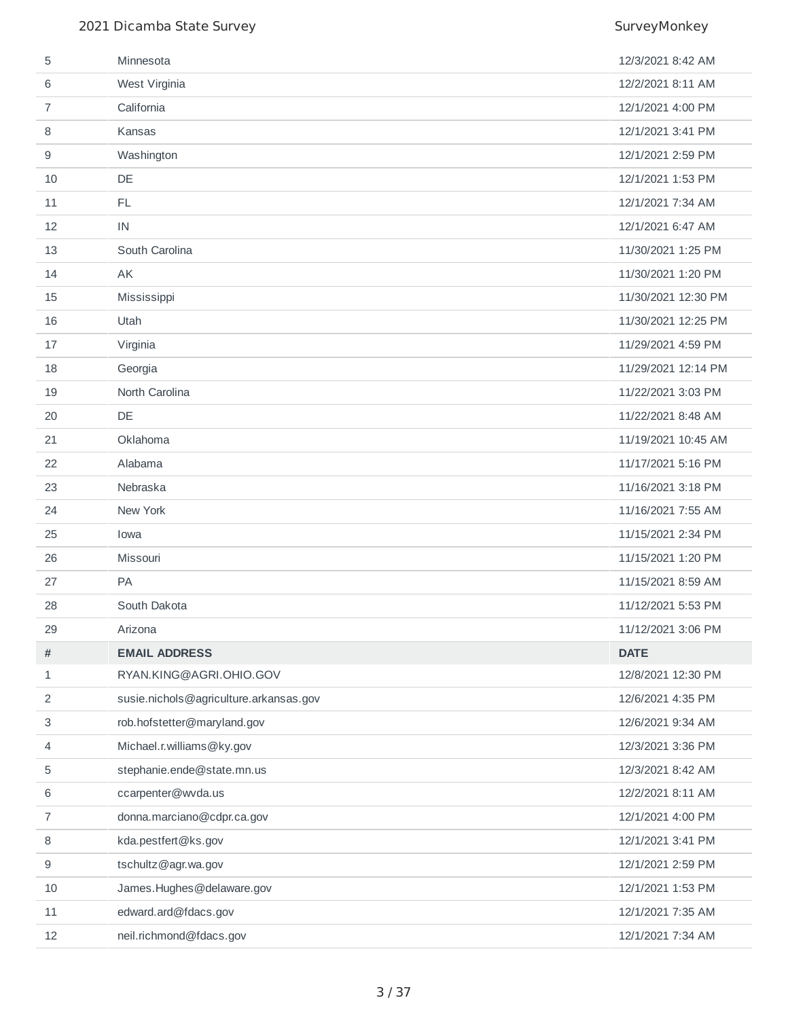| 5              | Minnesota                              | 12/3/2021 8:42 AM   |
|----------------|----------------------------------------|---------------------|
| 6              | West Virginia                          | 12/2/2021 8:11 AM   |
| 7              | California                             | 12/1/2021 4:00 PM   |
| 8              | Kansas                                 | 12/1/2021 3:41 PM   |
| 9              | Washington                             | 12/1/2021 2:59 PM   |
| 10             | DE                                     | 12/1/2021 1:53 PM   |
| 11             | <b>FL</b>                              | 12/1/2021 7:34 AM   |
| 12             | IN                                     | 12/1/2021 6:47 AM   |
| 13             | South Carolina                         | 11/30/2021 1:25 PM  |
| 14             | <b>AK</b>                              | 11/30/2021 1:20 PM  |
| 15             | Mississippi                            | 11/30/2021 12:30 PM |
| 16             | Utah                                   | 11/30/2021 12:25 PM |
| 17             | Virginia                               | 11/29/2021 4:59 PM  |
| 18             | Georgia                                | 11/29/2021 12:14 PM |
| 19             | North Carolina                         | 11/22/2021 3:03 PM  |
| 20             | <b>DE</b>                              | 11/22/2021 8:48 AM  |
| 21             | Oklahoma                               | 11/19/2021 10:45 AM |
| 22             | Alabama                                | 11/17/2021 5:16 PM  |
| 23             | Nebraska                               | 11/16/2021 3:18 PM  |
| 24             | New York                               | 11/16/2021 7:55 AM  |
| 25             | Iowa                                   | 11/15/2021 2:34 PM  |
| 26             | Missouri                               | 11/15/2021 1:20 PM  |
| 27             | <b>PA</b>                              | 11/15/2021 8:59 AM  |
| 28             | South Dakota                           | 11/12/2021 5:53 PM  |
| 29             | Arizona                                | 11/12/2021 3:06 PM  |
| #              | <b>EMAIL ADDRESS</b>                   | <b>DATE</b>         |
| 1              | RYAN.KING@AGRI.OHIO.GOV                | 12/8/2021 12:30 PM  |
| $\overline{2}$ | susie.nichols@agriculture.arkansas.gov | 12/6/2021 4:35 PM   |
| 3              | rob.hofstetter@maryland.gov            | 12/6/2021 9:34 AM   |
| 4              | Michael.r.williams@ky.gov              | 12/3/2021 3:36 PM   |
| 5              | stephanie.ende@state.mn.us             | 12/3/2021 8:42 AM   |
| 6              | ccarpenter@wvda.us                     | 12/2/2021 8:11 AM   |
| 7              | donna.marciano@cdpr.ca.gov             | 12/1/2021 4:00 PM   |
| 8              | kda.pestfert@ks.gov                    | 12/1/2021 3:41 PM   |
| 9              | tschultz@agr.wa.gov                    | 12/1/2021 2:59 PM   |
| 10             | James.Hughes@delaware.gov              | 12/1/2021 1:53 PM   |
| 11             | edward.ard@fdacs.gov                   | 12/1/2021 7:35 AM   |
| 12             | neil.richmond@fdacs.gov                | 12/1/2021 7:34 AM   |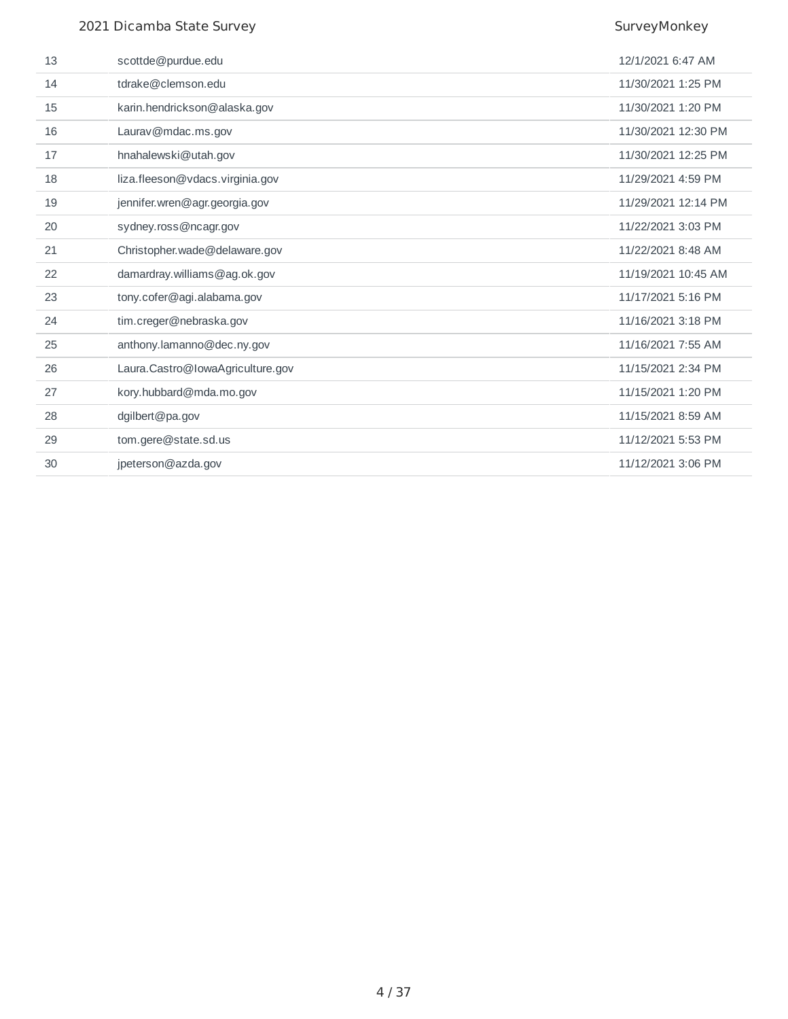| 13 | scottde@purdue.edu               | 12/1/2021 6:47 AM   |
|----|----------------------------------|---------------------|
| 14 | tdrake@clemson.edu               | 11/30/2021 1:25 PM  |
| 15 | karin.hendrickson@alaska.gov     | 11/30/2021 1:20 PM  |
| 16 | Laurav@mdac.ms.gov               | 11/30/2021 12:30 PM |
| 17 | hnahalewski@utah.gov             | 11/30/2021 12:25 PM |
| 18 | liza.fleeson@vdacs.virginia.gov  | 11/29/2021 4:59 PM  |
| 19 | jennifer.wren@agr.georgia.gov    | 11/29/2021 12:14 PM |
| 20 | sydney.ross@ncagr.gov            | 11/22/2021 3:03 PM  |
| 21 | Christopher.wade@delaware.gov    | 11/22/2021 8:48 AM  |
| 22 | damardray.williams@ag.ok.gov     | 11/19/2021 10:45 AM |
| 23 | tony.cofer@agi.alabama.gov       | 11/17/2021 5:16 PM  |
| 24 | tim.creger@nebraska.gov          | 11/16/2021 3:18 PM  |
| 25 | anthony.lamanno@dec.ny.gov       | 11/16/2021 7:55 AM  |
| 26 | Laura.Castro@IowaAgriculture.gov | 11/15/2021 2:34 PM  |
| 27 | kory.hubbard@mda.mo.gov          | 11/15/2021 1:20 PM  |
| 28 | dgilbert@pa.gov                  | 11/15/2021 8:59 AM  |
| 29 | tom.gere@state.sd.us             | 11/12/2021 5:53 PM  |
| 30 | jpeterson@azda.gov               | 11/12/2021 3:06 PM  |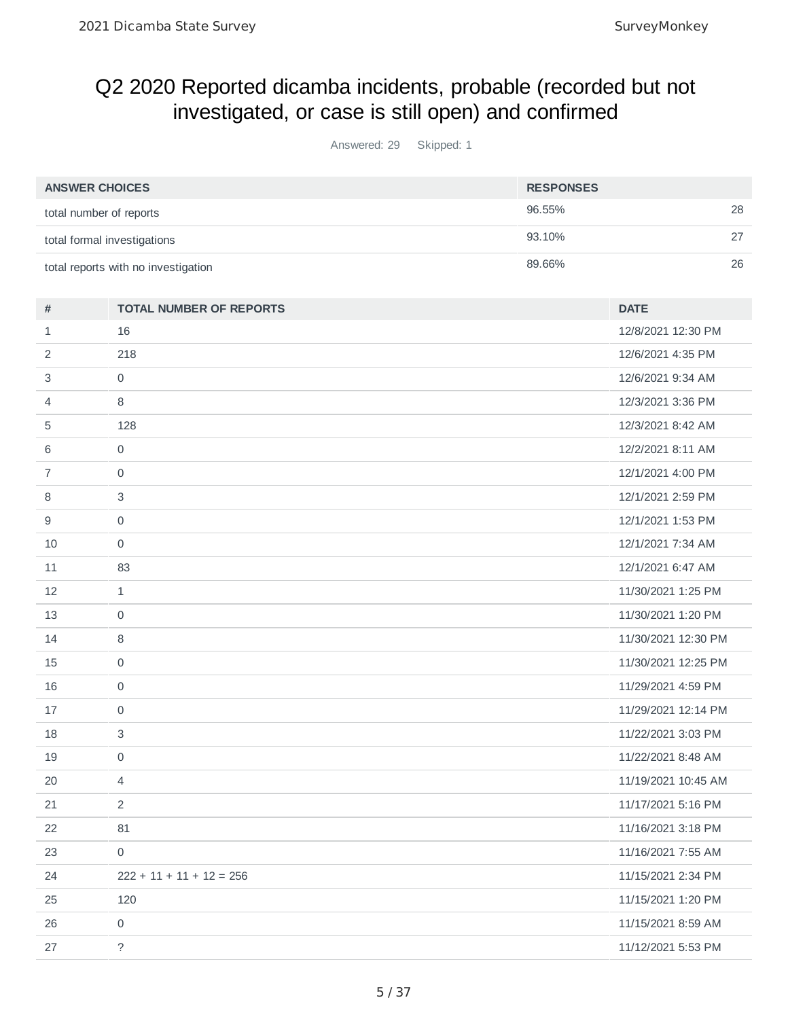## Q2 2020 Reported dicamba incidents, probable (recorded but not investigated, or case is still open) and confirmed

Answered: 29 Skipped: 1

| <b>ANSWER CHOICES</b>               | <b>RESPONSES</b> |    |
|-------------------------------------|------------------|----|
| total number of reports             | 96.55%           | 28 |
| total formal investigations         | 93.10%           |    |
| total reports with no investigation | 89.66%           | 26 |

| $\#$           | <b>TOTAL NUMBER OF REPORTS</b> | <b>DATE</b>         |
|----------------|--------------------------------|---------------------|
| $\mathbf{1}$   | 16                             | 12/8/2021 12:30 PM  |
| $\overline{c}$ | 218                            | 12/6/2021 4:35 PM   |
| 3              | $\mathbf 0$                    | 12/6/2021 9:34 AM   |
| $\overline{4}$ | 8                              | 12/3/2021 3:36 PM   |
| 5              | 128                            | 12/3/2021 8:42 AM   |
| 6              | 0                              | 12/2/2021 8:11 AM   |
| $\overline{7}$ | $\mathbf 0$                    | 12/1/2021 4:00 PM   |
| 8              | 3                              | 12/1/2021 2:59 PM   |
| 9              | 0                              | 12/1/2021 1:53 PM   |
| 10             | $\mathbf 0$                    | 12/1/2021 7:34 AM   |
| 11             | 83                             | 12/1/2021 6:47 AM   |
| 12             | $\mathbf{1}$                   | 11/30/2021 1:25 PM  |
| 13             | $\mathsf{O}$                   | 11/30/2021 1:20 PM  |
| 14             | 8                              | 11/30/2021 12:30 PM |
| 15             | $\mathsf{O}\xspace$            | 11/30/2021 12:25 PM |
| 16             | $\mathbf 0$                    | 11/29/2021 4:59 PM  |
| 17             | 0                              | 11/29/2021 12:14 PM |
| 18             | 3                              | 11/22/2021 3:03 PM  |
| 19             | $\mathbf 0$                    | 11/22/2021 8:48 AM  |
| 20             | 4                              | 11/19/2021 10:45 AM |
| 21             | 2                              | 11/17/2021 5:16 PM  |
| 22             | 81                             | 11/16/2021 3:18 PM  |
| 23             | $\mathsf{O}$                   | 11/16/2021 7:55 AM  |
| 24             | $222 + 11 + 11 + 12 = 256$     | 11/15/2021 2:34 PM  |
| 25             | 120                            | 11/15/2021 1:20 PM  |
| 26             | 0                              | 11/15/2021 8:59 AM  |
| 27             | $\overline{?}$                 | 11/12/2021 5:53 PM  |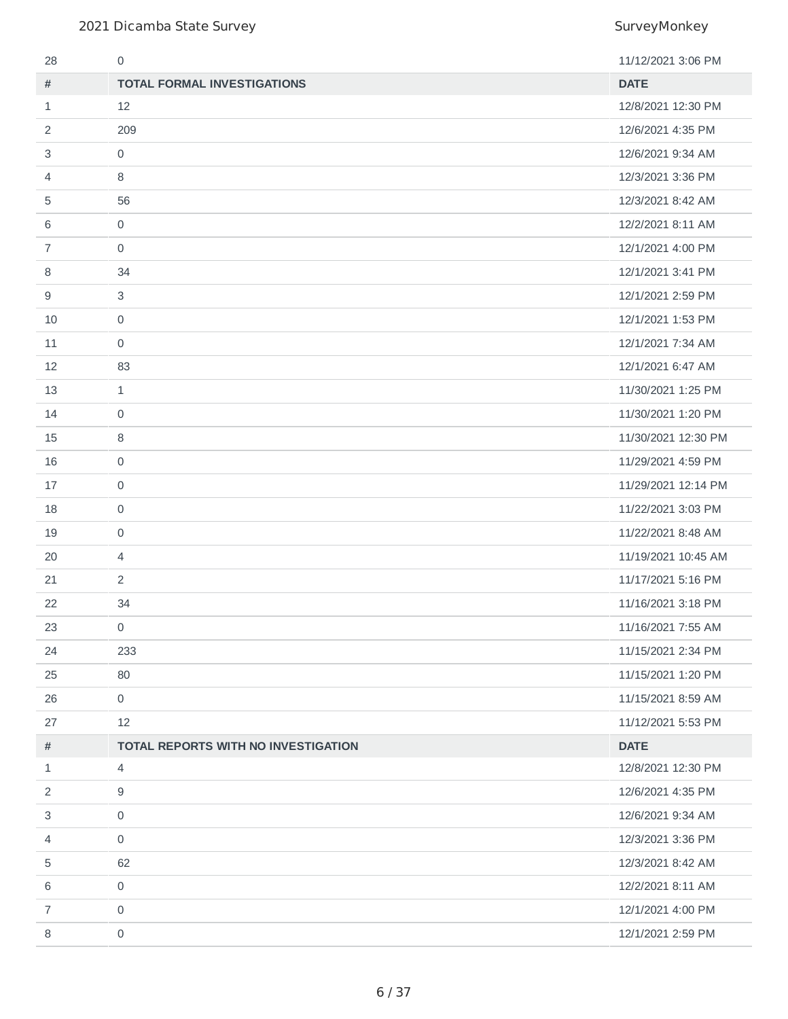| 28             | 0                                   | 11/12/2021 3:06 PM  |
|----------------|-------------------------------------|---------------------|
| #              | <b>TOTAL FORMAL INVESTIGATIONS</b>  | <b>DATE</b>         |
| 1              | 12                                  | 12/8/2021 12:30 PM  |
| 2              | 209                                 | 12/6/2021 4:35 PM   |
| 3              | $\mathsf{O}\xspace$                 | 12/6/2021 9:34 AM   |
| 4              | 8                                   | 12/3/2021 3:36 PM   |
| 5              | 56                                  | 12/3/2021 8:42 AM   |
| 6              | $\mathsf{O}$                        | 12/2/2021 8:11 AM   |
| 7              | $\mathbf 0$                         | 12/1/2021 4:00 PM   |
| 8              | 34                                  | 12/1/2021 3:41 PM   |
| 9              | 3                                   | 12/1/2021 2:59 PM   |
| 10             | 0                                   | 12/1/2021 1:53 PM   |
| 11             | $\mathsf{O}$                        | 12/1/2021 7:34 AM   |
| 12             | 83                                  | 12/1/2021 6:47 AM   |
| 13             | $\mathbf{1}$                        | 11/30/2021 1:25 PM  |
| 14             | 0                                   | 11/30/2021 1:20 PM  |
| 15             | $\, 8$                              | 11/30/2021 12:30 PM |
| 16             | $\mathsf{O}\xspace$                 | 11/29/2021 4:59 PM  |
| 17             | $\mathsf{O}\xspace$                 | 11/29/2021 12:14 PM |
| 18             | $\mathsf{O}\xspace$                 | 11/22/2021 3:03 PM  |
| 19             | $\mathsf{O}\xspace$                 | 11/22/2021 8:48 AM  |
| 20             | $\overline{4}$                      | 11/19/2021 10:45 AM |
| 21             | $\overline{2}$                      | 11/17/2021 5:16 PM  |
| 22             | 34                                  | 11/16/2021 3:18 PM  |
| 23             | 0                                   | 11/16/2021 7:55 AM  |
| 24             | 233                                 | 11/15/2021 2:34 PM  |
| 25             | 80                                  | 11/15/2021 1:20 PM  |
| 26             | 0                                   | 11/15/2021 8:59 AM  |
| 27             | 12                                  | 11/12/2021 5:53 PM  |
| #              | TOTAL REPORTS WITH NO INVESTIGATION | <b>DATE</b>         |
| $\mathbf{1}$   | 4                                   | 12/8/2021 12:30 PM  |
| 2              | 9                                   | 12/6/2021 4:35 PM   |
| 3              | 0                                   | 12/6/2021 9:34 AM   |
| 4              | 0                                   | 12/3/2021 3:36 PM   |
| 5              | 62                                  | 12/3/2021 8:42 AM   |
| 6              | 0                                   | 12/2/2021 8:11 AM   |
| $\overline{7}$ | 0                                   | 12/1/2021 4:00 PM   |
| 8              | $\mathsf{O}\xspace$                 | 12/1/2021 2:59 PM   |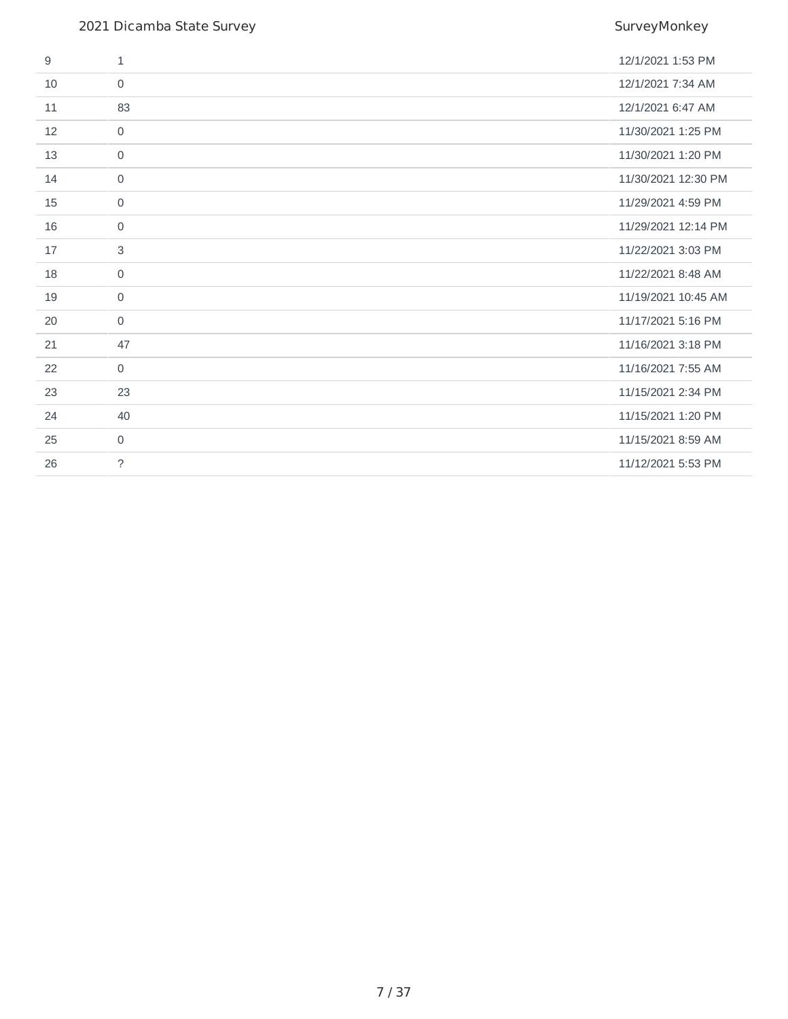| 9  | $\mathbf{1}$        | 12/1/2021 1:53 PM   |
|----|---------------------|---------------------|
| 10 | $\mathbf 0$         | 12/1/2021 7:34 AM   |
| 11 | 83                  | 12/1/2021 6:47 AM   |
| 12 | $\mathbf 0$         | 11/30/2021 1:25 PM  |
| 13 | $\mathbf 0$         | 11/30/2021 1:20 PM  |
| 14 | $\mathbf 0$         | 11/30/2021 12:30 PM |
| 15 | $\mathbf 0$         | 11/29/2021 4:59 PM  |
| 16 | $\mathbf 0$         | 11/29/2021 12:14 PM |
| 17 | 3                   | 11/22/2021 3:03 PM  |
| 18 | $\mathsf{O}\xspace$ | 11/22/2021 8:48 AM  |
| 19 | $\mathbf 0$         | 11/19/2021 10:45 AM |
| 20 | $\mathbf 0$         | 11/17/2021 5:16 PM  |
| 21 | 47                  | 11/16/2021 3:18 PM  |
| 22 | $\mathbf 0$         | 11/16/2021 7:55 AM  |
| 23 | 23                  | 11/15/2021 2:34 PM  |
| 24 | 40                  | 11/15/2021 1:20 PM  |
| 25 | $\mathbf 0$         | 11/15/2021 8:59 AM  |
| 26 | $\tilde{?}$         | 11/12/2021 5:53 PM  |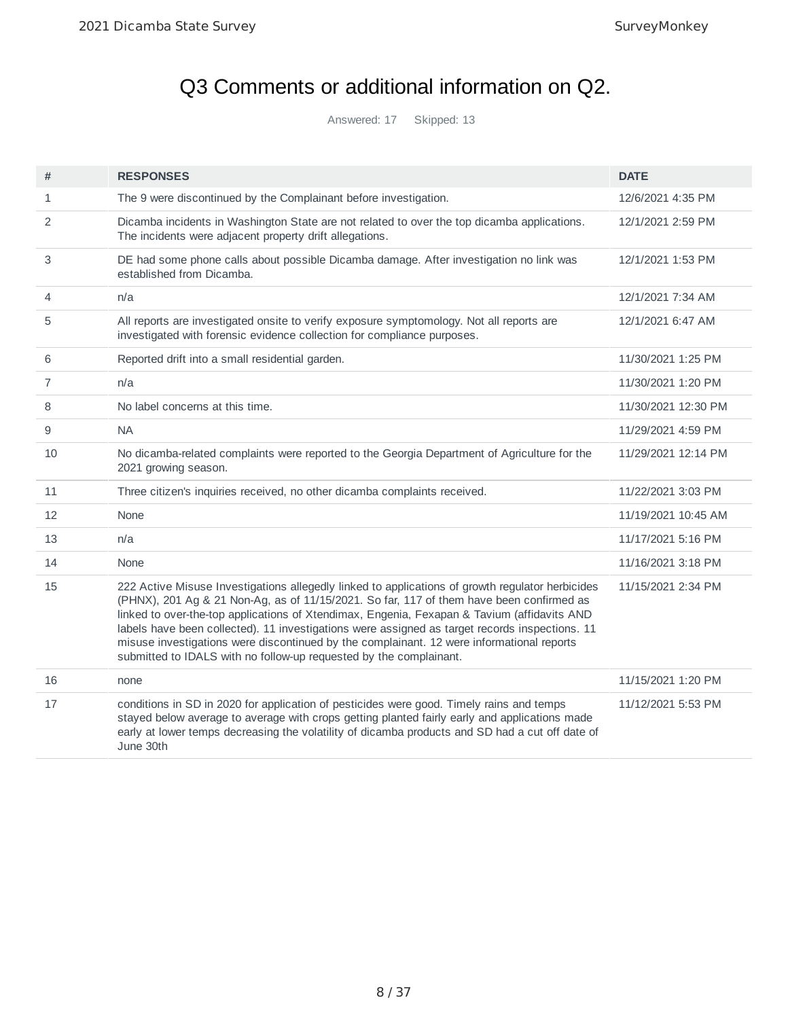# Q3 Comments or additional information on Q2.

Answered: 17 Skipped: 13

| #            | <b>RESPONSES</b>                                                                                                                                                                                                                                                                                                                                                                                                                                                                                                                                                 | <b>DATE</b>         |
|--------------|------------------------------------------------------------------------------------------------------------------------------------------------------------------------------------------------------------------------------------------------------------------------------------------------------------------------------------------------------------------------------------------------------------------------------------------------------------------------------------------------------------------------------------------------------------------|---------------------|
| $\mathbf{1}$ | The 9 were discontinued by the Complainant before investigation.                                                                                                                                                                                                                                                                                                                                                                                                                                                                                                 | 12/6/2021 4:35 PM   |
| 2            | Dicamba incidents in Washington State are not related to over the top dicamba applications.<br>The incidents were adjacent property drift allegations.                                                                                                                                                                                                                                                                                                                                                                                                           | 12/1/2021 2:59 PM   |
| 3            | DE had some phone calls about possible Dicamba damage. After investigation no link was<br>established from Dicamba.                                                                                                                                                                                                                                                                                                                                                                                                                                              | 12/1/2021 1:53 PM   |
| 4            | n/a                                                                                                                                                                                                                                                                                                                                                                                                                                                                                                                                                              | 12/1/2021 7:34 AM   |
| 5            | All reports are investigated onsite to verify exposure symptomology. Not all reports are<br>investigated with forensic evidence collection for compliance purposes.                                                                                                                                                                                                                                                                                                                                                                                              | 12/1/2021 6:47 AM   |
| 6            | Reported drift into a small residential garden.                                                                                                                                                                                                                                                                                                                                                                                                                                                                                                                  | 11/30/2021 1:25 PM  |
| 7            | n/a                                                                                                                                                                                                                                                                                                                                                                                                                                                                                                                                                              | 11/30/2021 1:20 PM  |
| 8            | No label concerns at this time.                                                                                                                                                                                                                                                                                                                                                                                                                                                                                                                                  | 11/30/2021 12:30 PM |
| 9            | <b>NA</b>                                                                                                                                                                                                                                                                                                                                                                                                                                                                                                                                                        | 11/29/2021 4:59 PM  |
| 10           | No dicamba-related complaints were reported to the Georgia Department of Agriculture for the<br>2021 growing season.                                                                                                                                                                                                                                                                                                                                                                                                                                             | 11/29/2021 12:14 PM |
| 11           | Three citizen's inquiries received, no other dicamba complaints received.                                                                                                                                                                                                                                                                                                                                                                                                                                                                                        | 11/22/2021 3:03 PM  |
| 12           | None                                                                                                                                                                                                                                                                                                                                                                                                                                                                                                                                                             | 11/19/2021 10:45 AM |
| 13           | n/a                                                                                                                                                                                                                                                                                                                                                                                                                                                                                                                                                              | 11/17/2021 5:16 PM  |
| 14           | None                                                                                                                                                                                                                                                                                                                                                                                                                                                                                                                                                             | 11/16/2021 3:18 PM  |
| 15           | 222 Active Misuse Investigations allegedly linked to applications of growth regulator herbicides<br>(PHNX), 201 Ag & 21 Non-Ag, as of 11/15/2021. So far, 117 of them have been confirmed as<br>linked to over-the-top applications of Xtendimax, Engenia, Fexapan & Tavium (affidavits AND<br>labels have been collected). 11 investigations were assigned as target records inspections. 11<br>misuse investigations were discontinued by the complainant. 12 were informational reports<br>submitted to IDALS with no follow-up requested by the complainant. | 11/15/2021 2:34 PM  |
| 16           | none                                                                                                                                                                                                                                                                                                                                                                                                                                                                                                                                                             | 11/15/2021 1:20 PM  |
| 17           | conditions in SD in 2020 for application of pesticides were good. Timely rains and temps<br>stayed below average to average with crops getting planted fairly early and applications made<br>early at lower temps decreasing the volatility of dicamba products and SD had a cut off date of<br>June 30th                                                                                                                                                                                                                                                        | 11/12/2021 5:53 PM  |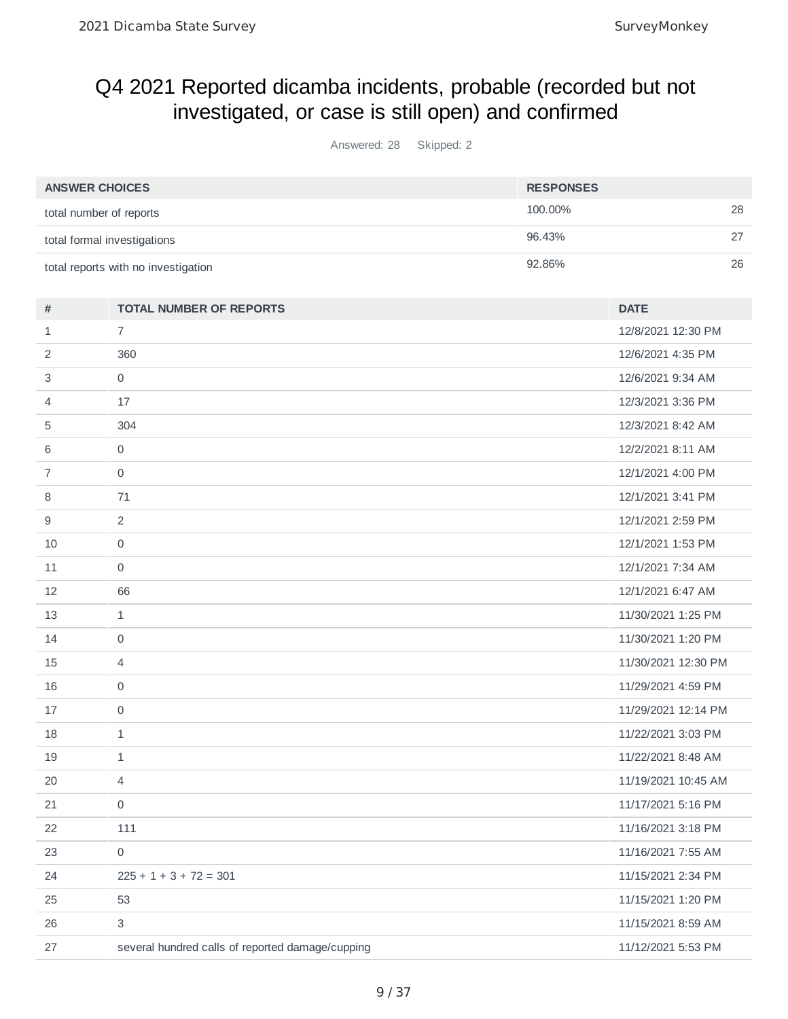## Q4 2021 Reported dicamba incidents, probable (recorded but not investigated, or case is still open) and confirmed

Answered: 28 Skipped: 2

| <b>ANSWER CHOICES</b>               | <b>RESPONSES</b> |    |
|-------------------------------------|------------------|----|
| total number of reports             | 100.00%          | 28 |
| total formal investigations         | 96.43%           |    |
| total reports with no investigation | 92.86%           | 26 |

| #              | <b>TOTAL NUMBER OF REPORTS</b>                   | <b>DATE</b>         |
|----------------|--------------------------------------------------|---------------------|
| $\mathbf{1}$   | $\overline{7}$                                   | 12/8/2021 12:30 PM  |
| 2              | 360                                              | 12/6/2021 4:35 PM   |
| 3              | $\mathsf{O}$                                     | 12/6/2021 9:34 AM   |
| 4              | 17                                               | 12/3/2021 3:36 PM   |
| 5              | 304                                              | 12/3/2021 8:42 AM   |
| 6              | $\mathsf{O}$                                     | 12/2/2021 8:11 AM   |
| $\overline{7}$ | $\mathsf{O}$                                     | 12/1/2021 4:00 PM   |
| 8              | 71                                               | 12/1/2021 3:41 PM   |
| 9              | $\overline{2}$                                   | 12/1/2021 2:59 PM   |
| 10             | $\Omega$                                         | 12/1/2021 1:53 PM   |
| 11             | 0                                                | 12/1/2021 7:34 AM   |
| 12             | 66                                               | 12/1/2021 6:47 AM   |
| 13             | $\mathbf{1}$                                     | 11/30/2021 1:25 PM  |
| 14             | $\mathsf{O}$                                     | 11/30/2021 1:20 PM  |
| 15             | 4                                                | 11/30/2021 12:30 PM |
| 16             | $\mathsf{O}\xspace$                              | 11/29/2021 4:59 PM  |
| 17             | 0                                                | 11/29/2021 12:14 PM |
| 18             | $\mathbf{1}$                                     | 11/22/2021 3:03 PM  |
| 19             | $\mathbf 1$                                      | 11/22/2021 8:48 AM  |
| 20             | $\overline{4}$                                   | 11/19/2021 10:45 AM |
| 21             | $\mathbf 0$                                      | 11/17/2021 5:16 PM  |
| 22             | 111                                              | 11/16/2021 3:18 PM  |
| 23             | $\mathsf{O}$                                     | 11/16/2021 7:55 AM  |
| 24             | $225 + 1 + 3 + 72 = 301$                         | 11/15/2021 2:34 PM  |
| 25             | 53                                               | 11/15/2021 1:20 PM  |
| 26             | 3                                                | 11/15/2021 8:59 AM  |
| 27             | several hundred calls of reported damage/cupping | 11/12/2021 5:53 PM  |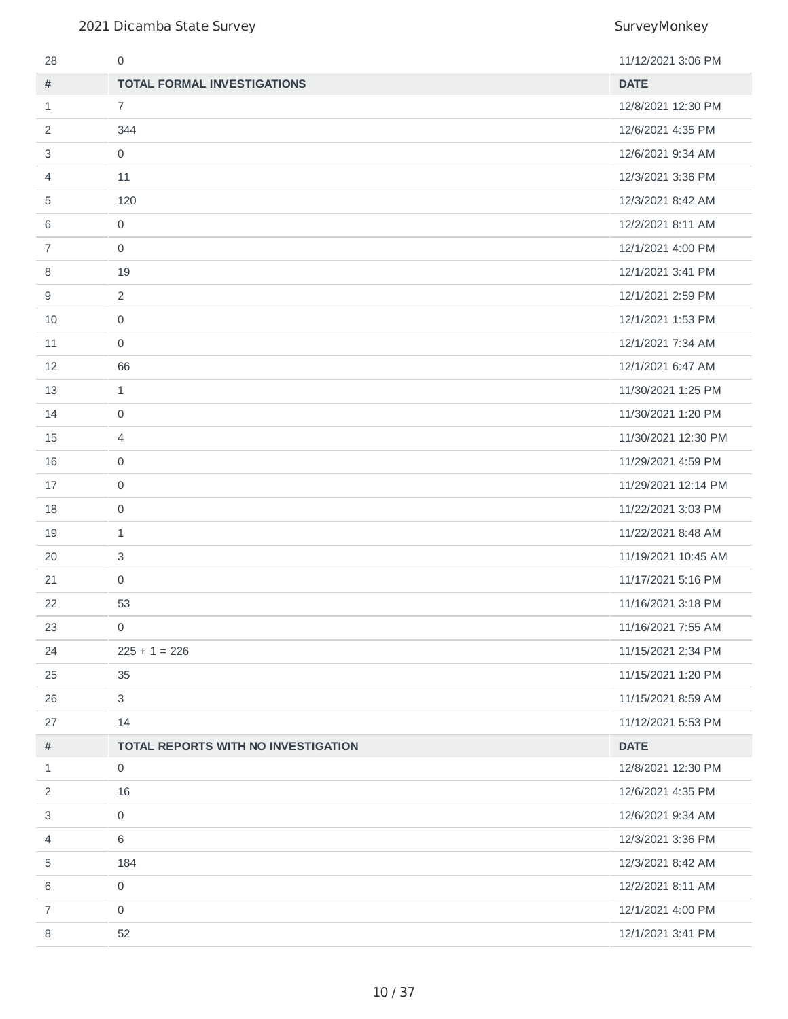| 28 | 0                                   | 11/12/2021 3:06 PM  |
|----|-------------------------------------|---------------------|
| #  | <b>TOTAL FORMAL INVESTIGATIONS</b>  | <b>DATE</b>         |
| 1  | 7                                   | 12/8/2021 12:30 PM  |
| 2  | 344                                 | 12/6/2021 4:35 PM   |
| 3  | $\mathbf 0$                         | 12/6/2021 9:34 AM   |
| 4  | 11                                  | 12/3/2021 3:36 PM   |
| 5  | 120                                 | 12/3/2021 8:42 AM   |
| 6  | $\mathsf{O}$                        | 12/2/2021 8:11 AM   |
| 7  | $\mathbf 0$                         | 12/1/2021 4:00 PM   |
| 8  | 19                                  | 12/1/2021 3:41 PM   |
| 9  | 2                                   | 12/1/2021 2:59 PM   |
| 10 | $\mathsf{O}$                        | 12/1/2021 1:53 PM   |
| 11 | $\mathsf{O}$                        | 12/1/2021 7:34 AM   |
| 12 | 66                                  | 12/1/2021 6:47 AM   |
| 13 | $\mathbf{1}$                        | 11/30/2021 1:25 PM  |
| 14 | 0                                   | 11/30/2021 1:20 PM  |
| 15 | $\overline{4}$                      | 11/30/2021 12:30 PM |
| 16 | $\mathsf{O}\xspace$                 | 11/29/2021 4:59 PM  |
| 17 | $\mathsf{O}$                        | 11/29/2021 12:14 PM |
| 18 | $\mathsf{O}\xspace$                 | 11/22/2021 3:03 PM  |
| 19 | $\mathbf{1}$                        | 11/22/2021 8:48 AM  |
| 20 | 3                                   | 11/19/2021 10:45 AM |
| 21 | $\mathsf{O}$                        | 11/17/2021 5:16 PM  |
| 22 | 53                                  | 11/16/2021 3:18 PM  |
| 23 | 0                                   | 11/16/2021 7:55 AM  |
| 24 | $225 + 1 = 226$                     | 11/15/2021 2:34 PM  |
| 25 | 35                                  | 11/15/2021 1:20 PM  |
| 26 | 3                                   | 11/15/2021 8:59 AM  |
| 27 | 14                                  | 11/12/2021 5:53 PM  |
| #  | TOTAL REPORTS WITH NO INVESTIGATION | <b>DATE</b>         |
| 1  | 0                                   | 12/8/2021 12:30 PM  |
| 2  | 16                                  | 12/6/2021 4:35 PM   |
| 3  | $\mathsf{O}\xspace$                 | 12/6/2021 9:34 AM   |
| 4  | 6                                   | 12/3/2021 3:36 PM   |
| 5  | 184                                 | 12/3/2021 8:42 AM   |
| 6  | $\mathsf{O}$                        | 12/2/2021 8:11 AM   |
| 7  | $\mathsf{O}$                        | 12/1/2021 4:00 PM   |
| 8  | 52                                  | 12/1/2021 3:41 PM   |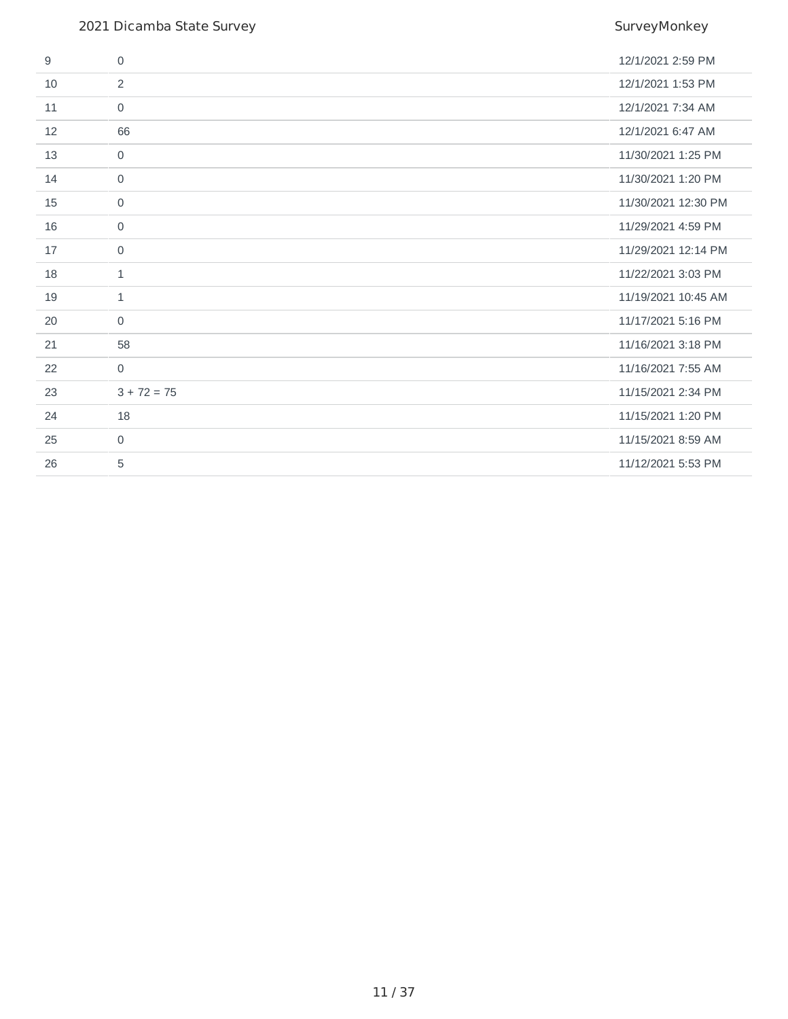| 9  | $\Omega$      | 12/1/2021 2:59 PM   |
|----|---------------|---------------------|
| 10 | 2             | 12/1/2021 1:53 PM   |
| 11 | $\mathbf 0$   | 12/1/2021 7:34 AM   |
| 12 | 66            | 12/1/2021 6:47 AM   |
| 13 | $\mathbf 0$   | 11/30/2021 1:25 PM  |
| 14 | $\mathbf 0$   | 11/30/2021 1:20 PM  |
| 15 | $\mathbf 0$   | 11/30/2021 12:30 PM |
| 16 | $\mathbf 0$   | 11/29/2021 4:59 PM  |
| 17 | $\mathbf 0$   | 11/29/2021 12:14 PM |
| 18 | $\mathbf{1}$  | 11/22/2021 3:03 PM  |
| 19 | $\mathbf{1}$  | 11/19/2021 10:45 AM |
| 20 | $\mathbf 0$   | 11/17/2021 5:16 PM  |
| 21 | 58            | 11/16/2021 3:18 PM  |
| 22 | $\mathbf{0}$  | 11/16/2021 7:55 AM  |
| 23 | $3 + 72 = 75$ | 11/15/2021 2:34 PM  |
| 24 | 18            | 11/15/2021 1:20 PM  |
| 25 | $\Omega$      | 11/15/2021 8:59 AM  |
| 26 | 5             | 11/12/2021 5:53 PM  |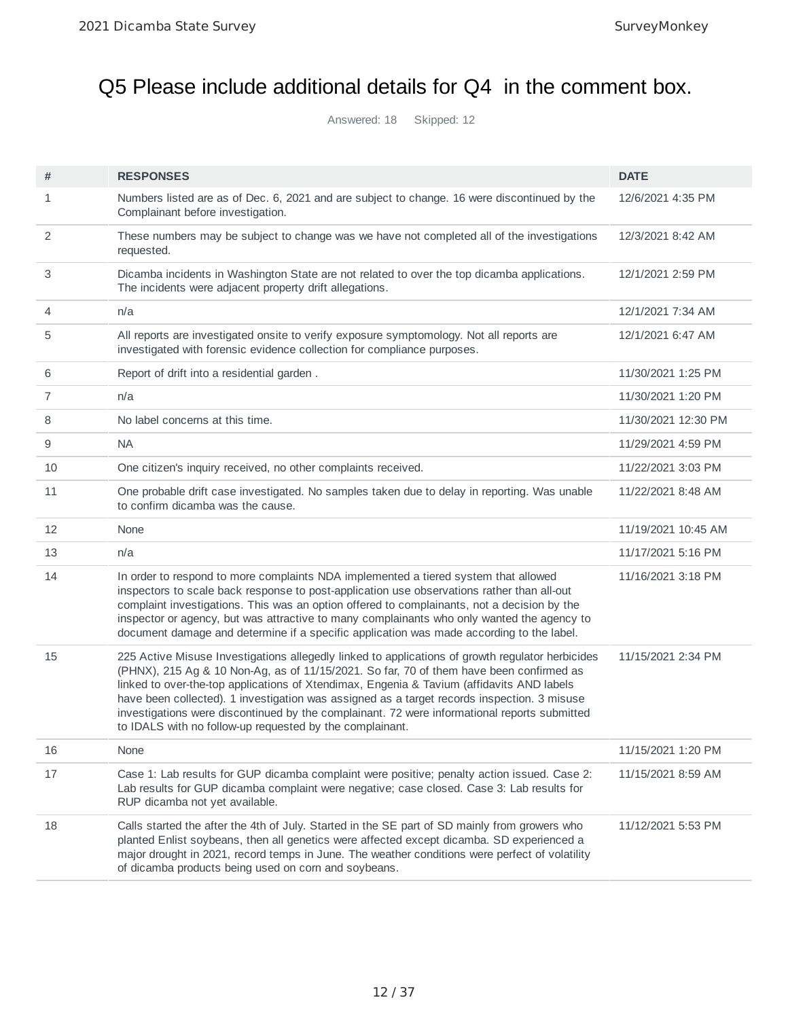# Q5 Please include additional details for Q4 in the comment box.

Answered: 18 Skipped: 12

| #              | <b>RESPONSES</b>                                                                                                                                                                                                                                                                                                                                                                                                                                                                                                                                    | <b>DATE</b>         |
|----------------|-----------------------------------------------------------------------------------------------------------------------------------------------------------------------------------------------------------------------------------------------------------------------------------------------------------------------------------------------------------------------------------------------------------------------------------------------------------------------------------------------------------------------------------------------------|---------------------|
| 1              | Numbers listed are as of Dec. 6, 2021 and are subject to change. 16 were discontinued by the<br>Complainant before investigation.                                                                                                                                                                                                                                                                                                                                                                                                                   | 12/6/2021 4:35 PM   |
| 2              | These numbers may be subject to change was we have not completed all of the investigations<br>requested.                                                                                                                                                                                                                                                                                                                                                                                                                                            | 12/3/2021 8:42 AM   |
| 3              | Dicamba incidents in Washington State are not related to over the top dicamba applications.<br>The incidents were adjacent property drift allegations.                                                                                                                                                                                                                                                                                                                                                                                              | 12/1/2021 2:59 PM   |
| 4              | n/a                                                                                                                                                                                                                                                                                                                                                                                                                                                                                                                                                 | 12/1/2021 7:34 AM   |
| 5              | All reports are investigated onsite to verify exposure symptomology. Not all reports are<br>investigated with forensic evidence collection for compliance purposes.                                                                                                                                                                                                                                                                                                                                                                                 | 12/1/2021 6:47 AM   |
| 6              | Report of drift into a residential garden.                                                                                                                                                                                                                                                                                                                                                                                                                                                                                                          | 11/30/2021 1:25 PM  |
| $\overline{7}$ | n/a                                                                                                                                                                                                                                                                                                                                                                                                                                                                                                                                                 | 11/30/2021 1:20 PM  |
| 8              | No label concerns at this time.                                                                                                                                                                                                                                                                                                                                                                                                                                                                                                                     | 11/30/2021 12:30 PM |
| 9              | <b>NA</b>                                                                                                                                                                                                                                                                                                                                                                                                                                                                                                                                           | 11/29/2021 4:59 PM  |
| 10             | One citizen's inquiry received, no other complaints received.                                                                                                                                                                                                                                                                                                                                                                                                                                                                                       | 11/22/2021 3:03 PM  |
| 11             | One probable drift case investigated. No samples taken due to delay in reporting. Was unable<br>to confirm dicamba was the cause.                                                                                                                                                                                                                                                                                                                                                                                                                   | 11/22/2021 8:48 AM  |
| 12             | None                                                                                                                                                                                                                                                                                                                                                                                                                                                                                                                                                | 11/19/2021 10:45 AM |
| 13             | n/a                                                                                                                                                                                                                                                                                                                                                                                                                                                                                                                                                 | 11/17/2021 5:16 PM  |
| 14             | In order to respond to more complaints NDA implemented a tiered system that allowed<br>inspectors to scale back response to post-application use observations rather than all-out<br>complaint investigations. This was an option offered to complainants, not a decision by the<br>inspector or agency, but was attractive to many complainants who only wanted the agency to<br>document damage and determine if a specific application was made according to the label.                                                                          | 11/16/2021 3:18 PM  |
| 15             | 225 Active Misuse Investigations allegedly linked to applications of growth regulator herbicides<br>(PHNX), 215 Ag & 10 Non-Ag, as of 11/15/2021. So far, 70 of them have been confirmed as<br>linked to over-the-top applications of Xtendimax, Engenia & Tavium (affidavits AND labels<br>have been collected). 1 investigation was assigned as a target records inspection. 3 misuse<br>investigations were discontinued by the complainant. 72 were informational reports submitted<br>to IDALS with no follow-up requested by the complainant. | 11/15/2021 2:34 PM  |
| 16             | None                                                                                                                                                                                                                                                                                                                                                                                                                                                                                                                                                | 11/15/2021 1:20 PM  |
| 17             | Case 1: Lab results for GUP dicamba complaint were positive; penalty action issued. Case 2:<br>Lab results for GUP dicamba complaint were negative; case closed. Case 3: Lab results for<br>RUP dicamba not yet available.                                                                                                                                                                                                                                                                                                                          | 11/15/2021 8:59 AM  |
| 18             | Calls started the after the 4th of July. Started in the SE part of SD mainly from growers who<br>planted Enlist soybeans, then all genetics were affected except dicamba. SD experienced a<br>major drought in 2021, record temps in June. The weather conditions were perfect of volatility<br>of dicamba products being used on corn and soybeans.                                                                                                                                                                                                | 11/12/2021 5:53 PM  |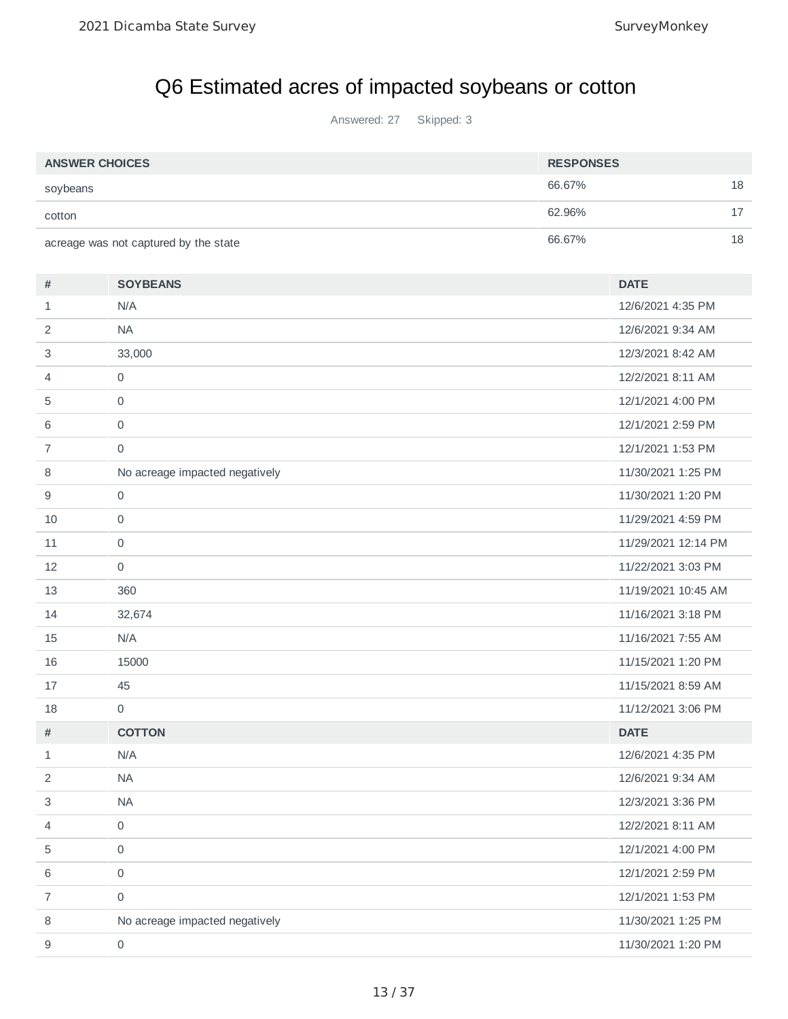# Q6 Estimated acres of impacted soybeans or cotton

Answered: 27 Skipped: 3

| <b>ANSWER CHOICES</b> |                                       | <b>RESPONSES</b> |                     |    |
|-----------------------|---------------------------------------|------------------|---------------------|----|
| soybeans              |                                       | 66.67%           |                     | 18 |
| cotton                |                                       | 62.96%           |                     | 17 |
|                       | acreage was not captured by the state | 66.67%           |                     | 18 |
| #                     | <b>SOYBEANS</b>                       |                  | <b>DATE</b>         |    |
| $\mathbf{1}$          | N/A                                   |                  | 12/6/2021 4:35 PM   |    |
| 2                     | <b>NA</b>                             |                  | 12/6/2021 9:34 AM   |    |
| 3                     | 33,000                                |                  | 12/3/2021 8:42 AM   |    |
| 4                     | $\mathsf{O}\xspace$                   |                  | 12/2/2021 8:11 AM   |    |
| 5                     | $\mathsf{O}\xspace$                   |                  | 12/1/2021 4:00 PM   |    |
| 6                     | $\mathsf{O}\xspace$                   |                  | 12/1/2021 2:59 PM   |    |
| $\overline{7}$        | $\mathsf{O}\xspace$                   |                  | 12/1/2021 1:53 PM   |    |
| 8                     | No acreage impacted negatively        |                  | 11/30/2021 1:25 PM  |    |
| 9                     | $\mathsf{O}\xspace$                   |                  | 11/30/2021 1:20 PM  |    |
| 10                    | 0                                     |                  | 11/29/2021 4:59 PM  |    |
| 11                    | 0                                     |                  | 11/29/2021 12:14 PM |    |
| 12                    | 0                                     |                  | 11/22/2021 3:03 PM  |    |
| 13                    | 360                                   |                  | 11/19/2021 10:45 AM |    |
| 14                    | 32,674                                |                  | 11/16/2021 3:18 PM  |    |
| 15                    | N/A                                   |                  | 11/16/2021 7:55 AM  |    |
| 16                    | 15000                                 |                  | 11/15/2021 1:20 PM  |    |
| 17                    | 45                                    |                  | 11/15/2021 8:59 AM  |    |
| 18                    | 0                                     |                  | 11/12/2021 3:06 PM  |    |
| #                     | <b>COTTON</b>                         |                  | <b>DATE</b>         |    |
| $1\,$                 | N/A                                   |                  | 12/6/2021 4:35 PM   |    |
| 2                     | NA                                    |                  | 12/6/2021 9:34 AM   |    |
| 3                     | <b>NA</b>                             |                  | 12/3/2021 3:36 PM   |    |
| 4                     | $\mathsf{O}\xspace$                   |                  | 12/2/2021 8:11 AM   |    |
| 5                     | $\mathsf{O}\xspace$                   |                  | 12/1/2021 4:00 PM   |    |
| 6                     | $\mathsf{O}\xspace$                   |                  | 12/1/2021 2:59 PM   |    |
| 7                     | $\mathsf{O}\xspace$                   |                  | 12/1/2021 1:53 PM   |    |
| 8                     | No acreage impacted negatively        |                  | 11/30/2021 1:25 PM  |    |
| 9                     | $\mathsf{O}\xspace$                   |                  | 11/30/2021 1:20 PM  |    |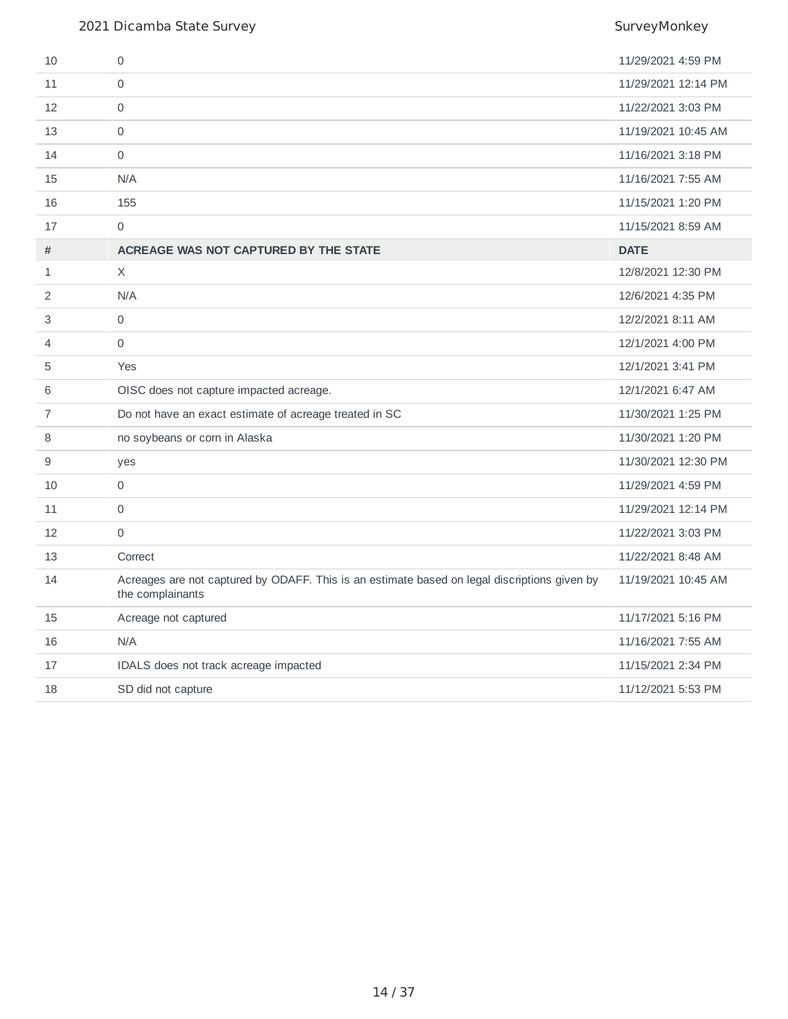| 10             | 0                                                                                                                | 11/29/2021 4:59 PM  |
|----------------|------------------------------------------------------------------------------------------------------------------|---------------------|
| 11             | 0                                                                                                                | 11/29/2021 12:14 PM |
| 12             | $\Omega$                                                                                                         | 11/22/2021 3:03 PM  |
| 13             | $\mathbf 0$                                                                                                      | 11/19/2021 10:45 AM |
| 14             | $\mathbf 0$                                                                                                      | 11/16/2021 3:18 PM  |
| 15             | N/A                                                                                                              | 11/16/2021 7:55 AM  |
| 16             | 155                                                                                                              | 11/15/2021 1:20 PM  |
| 17             | $\mathbf 0$                                                                                                      | 11/15/2021 8:59 AM  |
| #              | ACREAGE WAS NOT CAPTURED BY THE STATE                                                                            | <b>DATE</b>         |
| $\mathbf{1}$   | $\times$                                                                                                         | 12/8/2021 12:30 PM  |
| 2              | N/A                                                                                                              | 12/6/2021 4:35 PM   |
| 3              | $\mathbf 0$                                                                                                      | 12/2/2021 8:11 AM   |
| 4              | $\Omega$                                                                                                         | 12/1/2021 4:00 PM   |
| 5              | Yes                                                                                                              | 12/1/2021 3:41 PM   |
| 6              | OISC does not capture impacted acreage.                                                                          | 12/1/2021 6:47 AM   |
| $\overline{7}$ | Do not have an exact estimate of acreage treated in SC                                                           | 11/30/2021 1:25 PM  |
| 8              | no soybeans or corn in Alaska                                                                                    | 11/30/2021 1:20 PM  |
| 9              | yes                                                                                                              | 11/30/2021 12:30 PM |
| 10             | $\mathsf{O}\xspace$                                                                                              | 11/29/2021 4:59 PM  |
| 11             | $\mathbf 0$                                                                                                      | 11/29/2021 12:14 PM |
| 12             | $\mathbf 0$                                                                                                      | 11/22/2021 3:03 PM  |
| 13             | Correct                                                                                                          | 11/22/2021 8:48 AM  |
| 14             | Acreages are not captured by ODAFF. This is an estimate based on legal discriptions given by<br>the complainants | 11/19/2021 10:45 AM |
| 15             | Acreage not captured                                                                                             | 11/17/2021 5:16 PM  |
| 16             | N/A                                                                                                              | 11/16/2021 7:55 AM  |
| 17             | IDALS does not track acreage impacted                                                                            | 11/15/2021 2:34 PM  |
| 18             | SD did not capture                                                                                               | 11/12/2021 5:53 PM  |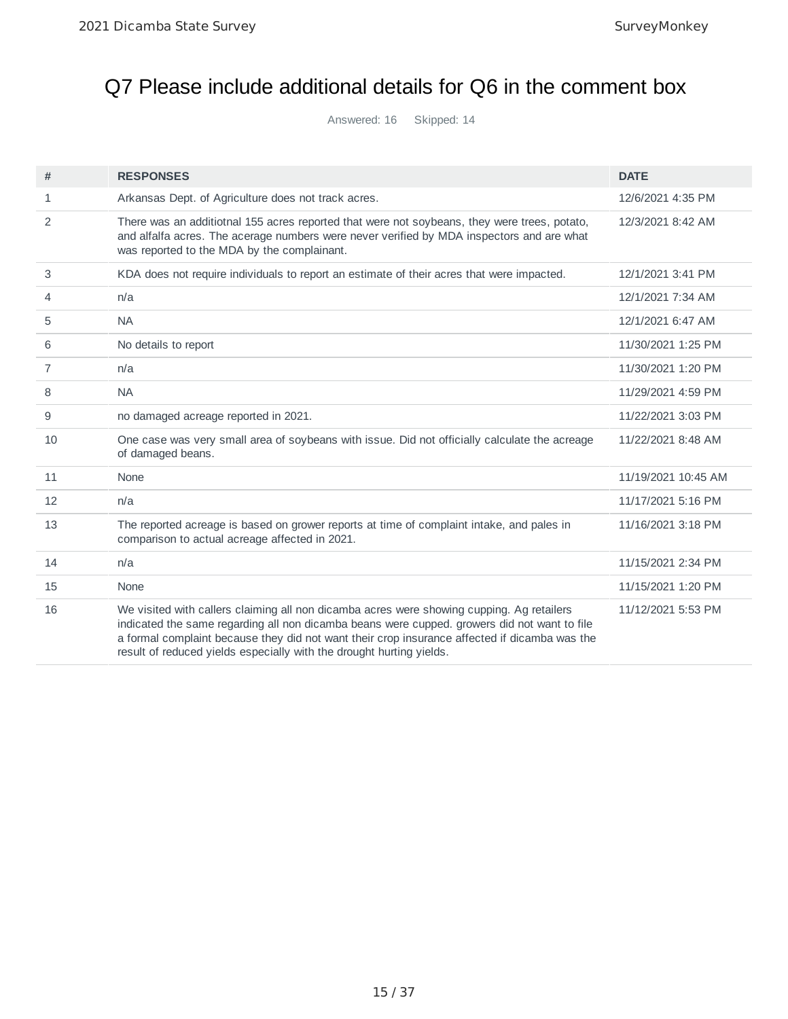# Q7 Please include additional details for Q6 in the comment box

Answered: 16 Skipped: 14

| #              | <b>RESPONSES</b>                                                                                                                                                                                                                                                                                                                                                   | <b>DATE</b>         |
|----------------|--------------------------------------------------------------------------------------------------------------------------------------------------------------------------------------------------------------------------------------------------------------------------------------------------------------------------------------------------------------------|---------------------|
| 1              | Arkansas Dept. of Agriculture does not track acres.                                                                                                                                                                                                                                                                                                                | 12/6/2021 4:35 PM   |
| $\overline{2}$ | There was an additiotnal 155 acres reported that were not soybeans, they were trees, potato,<br>and alfalfa acres. The acerage numbers were never verified by MDA inspectors and are what<br>was reported to the MDA by the complainant.                                                                                                                           | 12/3/2021 8:42 AM   |
| 3              | KDA does not require individuals to report an estimate of their acres that were impacted.                                                                                                                                                                                                                                                                          | 12/1/2021 3:41 PM   |
| 4              | n/a                                                                                                                                                                                                                                                                                                                                                                | 12/1/2021 7:34 AM   |
| 5              | <b>NA</b>                                                                                                                                                                                                                                                                                                                                                          | 12/1/2021 6:47 AM   |
| 6              | No details to report                                                                                                                                                                                                                                                                                                                                               | 11/30/2021 1:25 PM  |
| 7              | n/a                                                                                                                                                                                                                                                                                                                                                                | 11/30/2021 1:20 PM  |
| 8              | <b>NA</b>                                                                                                                                                                                                                                                                                                                                                          | 11/29/2021 4:59 PM  |
| 9              | no damaged acreage reported in 2021.                                                                                                                                                                                                                                                                                                                               | 11/22/2021 3:03 PM  |
| 10             | One case was very small area of soybeans with issue. Did not officially calculate the acreage<br>of damaged beans.                                                                                                                                                                                                                                                 | 11/22/2021 8:48 AM  |
| 11             | None                                                                                                                                                                                                                                                                                                                                                               | 11/19/2021 10:45 AM |
| 12             | n/a                                                                                                                                                                                                                                                                                                                                                                | 11/17/2021 5:16 PM  |
| 13             | The reported acreage is based on grower reports at time of complaint intake, and pales in<br>comparison to actual acreage affected in 2021.                                                                                                                                                                                                                        | 11/16/2021 3:18 PM  |
| 14             | n/a                                                                                                                                                                                                                                                                                                                                                                | 11/15/2021 2:34 PM  |
| 15             | None                                                                                                                                                                                                                                                                                                                                                               | 11/15/2021 1:20 PM  |
| 16             | We visited with callers claiming all non dicamba acres were showing cupping. Ag retailers<br>indicated the same regarding all non dicamba beans were cupped. growers did not want to file<br>a formal complaint because they did not want their crop insurance affected if dicamba was the<br>result of reduced yields especially with the drought hurting yields. | 11/12/2021 5:53 PM  |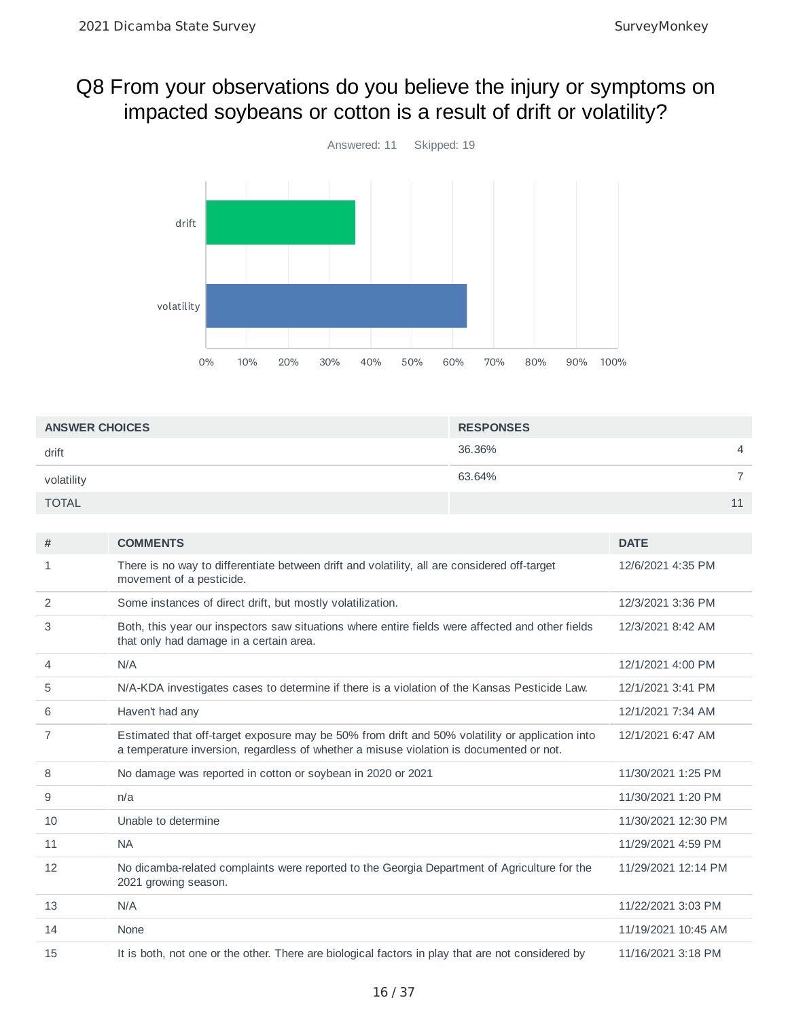## Q8 From your observations do you believe the injury or symptoms on impacted soybeans or cotton is a result of drift or volatility?



| <b>ANSWER CHOICES</b> | <b>RESPONSES</b>         |  |
|-----------------------|--------------------------|--|
| drift                 | 36.36%<br>$\overline{4}$ |  |
| volatility            | 63.64%                   |  |
| <b>TOTAL</b>          | 11                       |  |

| #  | <b>COMMENTS</b>                                                                                                                                                                            | <b>DATE</b>         |
|----|--------------------------------------------------------------------------------------------------------------------------------------------------------------------------------------------|---------------------|
| 1  | There is no way to differentiate between drift and volatility, all are considered off-target<br>movement of a pesticide.                                                                   | 12/6/2021 4:35 PM   |
| 2  | Some instances of direct drift, but mostly volatilization.                                                                                                                                 | 12/3/2021 3:36 PM   |
| 3  | Both, this year our inspectors saw situations where entire fields were affected and other fields<br>that only had damage in a certain area.                                                | 12/3/2021 8:42 AM   |
| 4  | N/A                                                                                                                                                                                        | 12/1/2021 4:00 PM   |
| 5  | N/A-KDA investigates cases to determine if there is a violation of the Kansas Pesticide Law.                                                                                               | 12/1/2021 3:41 PM   |
| 6  | Haven't had any                                                                                                                                                                            | 12/1/2021 7:34 AM   |
| 7  | Estimated that off-target exposure may be 50% from drift and 50% volatility or application into<br>a temperature inversion, regardless of whether a misuse violation is documented or not. | 12/1/2021 6:47 AM   |
| 8  | No damage was reported in cotton or soybean in 2020 or 2021                                                                                                                                | 11/30/2021 1:25 PM  |
| 9  | n/a                                                                                                                                                                                        | 11/30/2021 1:20 PM  |
| 10 | Unable to determine                                                                                                                                                                        | 11/30/2021 12:30 PM |
| 11 | <b>NA</b>                                                                                                                                                                                  | 11/29/2021 4:59 PM  |
| 12 | No dicamba-related complaints were reported to the Georgia Department of Agriculture for the<br>2021 growing season.                                                                       | 11/29/2021 12:14 PM |
| 13 | N/A                                                                                                                                                                                        | 11/22/2021 3:03 PM  |
| 14 | None                                                                                                                                                                                       | 11/19/2021 10:45 AM |
| 15 | It is both, not one or the other. There are biological factors in play that are not considered by                                                                                          | 11/16/2021 3:18 PM  |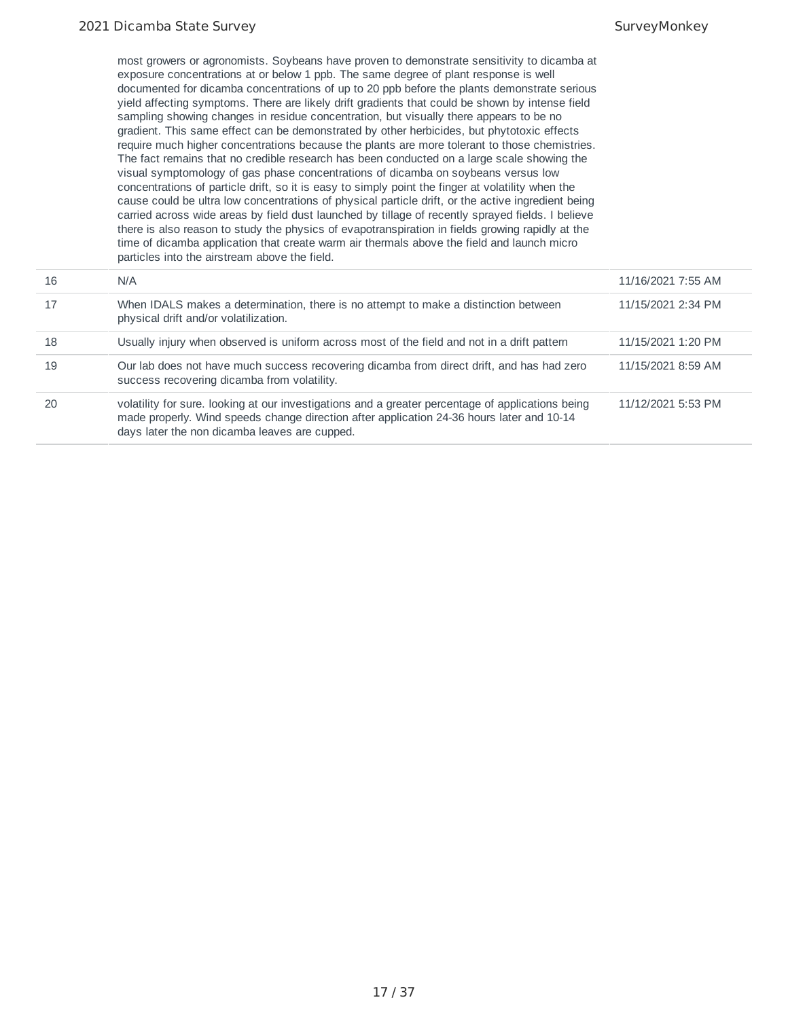most growers or agronomists. Soybeans have proven to demonstrate sensitivity to dicamba at exposure concentrations at or below 1 ppb. The same degree of plant response is well documented for dicamba concentrations of up to 20 ppb before the plants demonstrate serious yield affecting symptoms. There are likely drift gradients that could be shown by intense field sampling showing changes in residue concentration, but visually there appears to be no gradient. This same effect can be demonstrated by other herbicides, but phytotoxic effects require much higher concentrations because the plants are more tolerant to those chemistries. The fact remains that no credible research has been conducted on a large scale showing the visual symptomology of gas phase concentrations of dicamba on soybeans versus low concentrations of particle drift, so it is easy to simply point the finger at volatility when the cause could be ultra low concentrations of physical particle drift, or the active ingredient being carried across wide areas by field dust launched by tillage of recently sprayed fields. I believe there is also reason to study the physics of evapotranspiration in fields growing rapidly at the time of dicamba application that create warm air thermals above the field and launch micro particles into the airstream above the field.

| 16 | N/A                                                                                                                                                                                                                                             | 11/16/2021 7:55 AM |
|----|-------------------------------------------------------------------------------------------------------------------------------------------------------------------------------------------------------------------------------------------------|--------------------|
| 17 | When IDALS makes a determination, there is no attempt to make a distinction between<br>physical drift and/or volatilization.                                                                                                                    | 11/15/2021 2:34 PM |
| 18 | Usually injury when observed is uniform across most of the field and not in a drift pattern                                                                                                                                                     | 11/15/2021 1:20 PM |
| 19 | Our lab does not have much success recovering dicamba from direct drift, and has had zero<br>success recovering dicamba from volatility.                                                                                                        | 11/15/2021 8:59 AM |
| 20 | volatility for sure. looking at our investigations and a greater percentage of applications being<br>made properly. Wind speeds change direction after application 24-36 hours later and 10-14<br>days later the non dicamba leaves are cupped. | 11/12/2021 5:53 PM |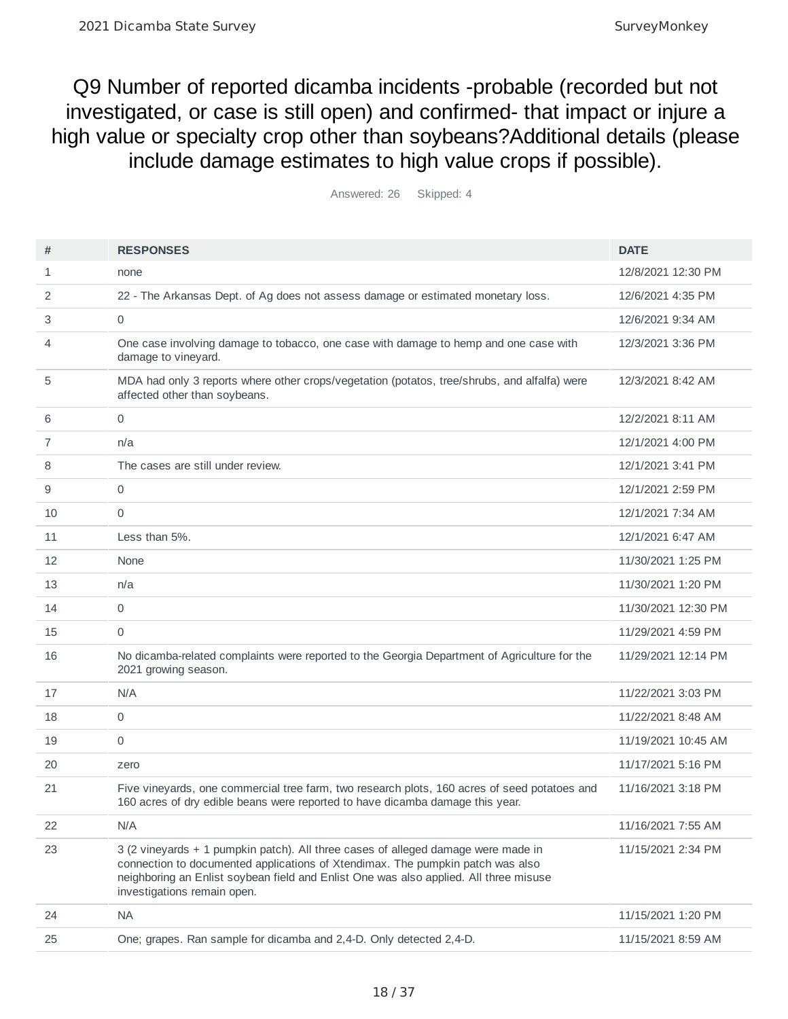Q9 Number of reported dicamba incidents -probable (recorded but not investigated, or case is still open) and confirmed- that impact or injure a high value or specialty crop other than soybeans?Additional details (please include damage estimates to high value crops if possible).

| #  | <b>RESPONSES</b>                                                                                                                                                                                                                                                                            | <b>DATE</b>         |
|----|---------------------------------------------------------------------------------------------------------------------------------------------------------------------------------------------------------------------------------------------------------------------------------------------|---------------------|
| 1  | none                                                                                                                                                                                                                                                                                        | 12/8/2021 12:30 PM  |
| 2  | 22 - The Arkansas Dept. of Ag does not assess damage or estimated monetary loss.                                                                                                                                                                                                            | 12/6/2021 4:35 PM   |
| 3  | $\mathbf 0$                                                                                                                                                                                                                                                                                 | 12/6/2021 9:34 AM   |
| 4  | One case involving damage to tobacco, one case with damage to hemp and one case with<br>damage to vineyard.                                                                                                                                                                                 | 12/3/2021 3:36 PM   |
| 5  | MDA had only 3 reports where other crops/vegetation (potatos, tree/shrubs, and alfalfa) were<br>affected other than soybeans.                                                                                                                                                               | 12/3/2021 8:42 AM   |
| 6  | $\mathbf 0$                                                                                                                                                                                                                                                                                 | 12/2/2021 8:11 AM   |
| 7  | n/a                                                                                                                                                                                                                                                                                         | 12/1/2021 4:00 PM   |
| 8  | The cases are still under review.                                                                                                                                                                                                                                                           | 12/1/2021 3:41 PM   |
| 9  | 0                                                                                                                                                                                                                                                                                           | 12/1/2021 2:59 PM   |
| 10 | 0                                                                                                                                                                                                                                                                                           | 12/1/2021 7:34 AM   |
| 11 | Less than 5%.                                                                                                                                                                                                                                                                               | 12/1/2021 6:47 AM   |
| 12 | None                                                                                                                                                                                                                                                                                        | 11/30/2021 1:25 PM  |
| 13 | n/a                                                                                                                                                                                                                                                                                         | 11/30/2021 1:20 PM  |
| 14 | 0                                                                                                                                                                                                                                                                                           | 11/30/2021 12:30 PM |
| 15 | 0                                                                                                                                                                                                                                                                                           | 11/29/2021 4:59 PM  |
| 16 | No dicamba-related complaints were reported to the Georgia Department of Agriculture for the<br>2021 growing season.                                                                                                                                                                        | 11/29/2021 12:14 PM |
| 17 | N/A                                                                                                                                                                                                                                                                                         | 11/22/2021 3:03 PM  |
| 18 | $\mathbf 0$                                                                                                                                                                                                                                                                                 | 11/22/2021 8:48 AM  |
| 19 | 0                                                                                                                                                                                                                                                                                           | 11/19/2021 10:45 AM |
| 20 | zero                                                                                                                                                                                                                                                                                        | 11/17/2021 5:16 PM  |
| 21 | Five vineyards, one commercial tree farm, two research plots, 160 acres of seed potatoes and<br>160 acres of dry edible beans were reported to have dicamba damage this year.                                                                                                               | 11/16/2021 3:18 PM  |
| 22 | N/A                                                                                                                                                                                                                                                                                         | 11/16/2021 7:55 AM  |
| 23 | 3 (2 vineyards + 1 pumpkin patch). All three cases of alleged damage were made in<br>connection to documented applications of Xtendimax. The pumpkin patch was also<br>neighboring an Enlist soybean field and Enlist One was also applied. All three misuse<br>investigations remain open. | 11/15/2021 2:34 PM  |
| 24 | <b>NA</b>                                                                                                                                                                                                                                                                                   | 11/15/2021 1:20 PM  |
| 25 | One; grapes. Ran sample for dicamba and 2,4-D. Only detected 2,4-D.                                                                                                                                                                                                                         | 11/15/2021 8:59 AM  |

Answered: 26 Skipped: 4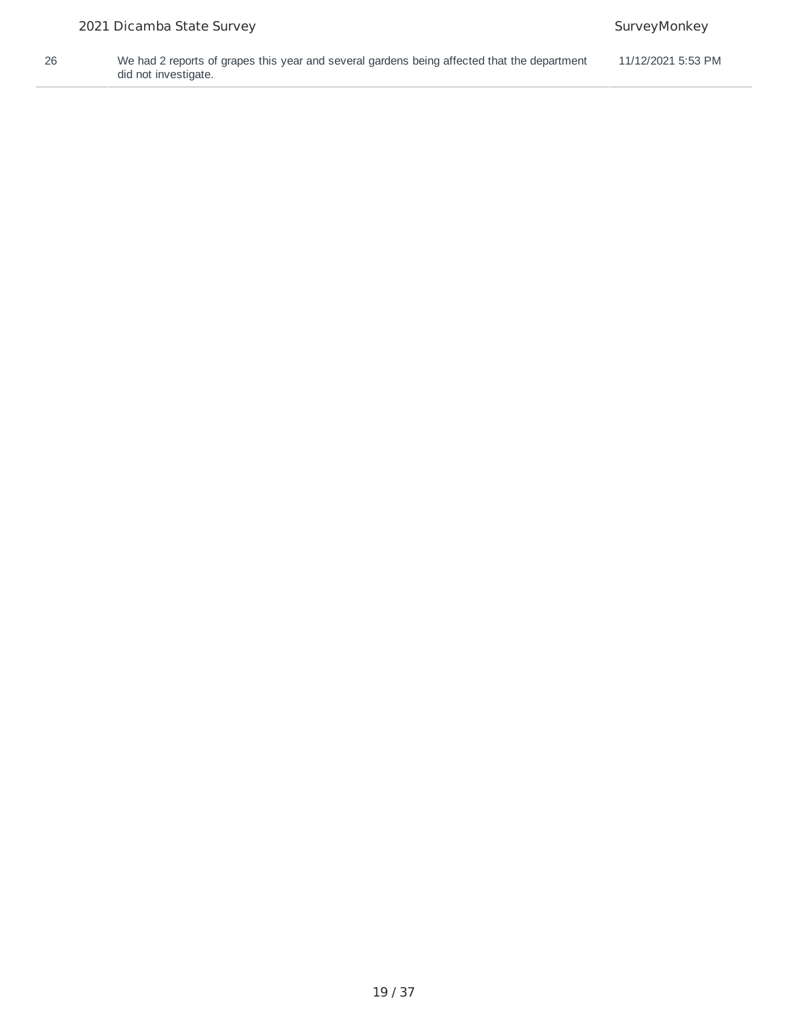26 We had 2 reports of grapes this year and several gardens being affected that the department did not investigate. 11/12/2021 5:53 PM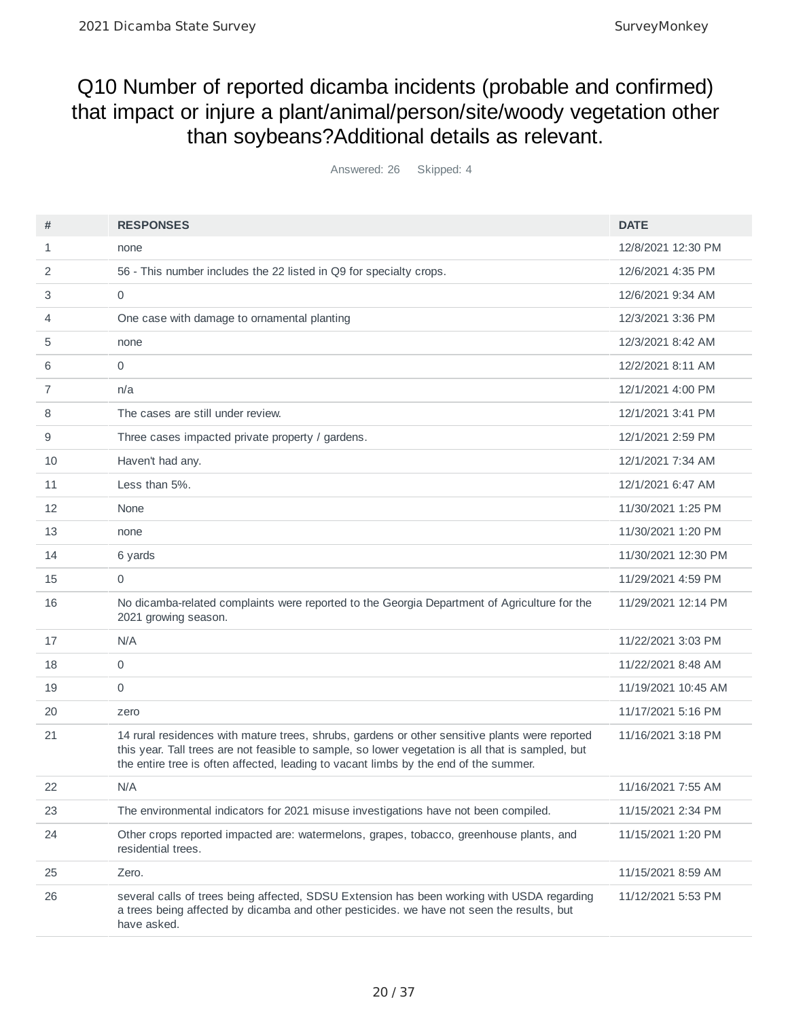## Q10 Number of reported dicamba incidents (probable and confirmed) that impact or injure a plant/animal/person/site/woody vegetation other than soybeans?Additional details as relevant.

Answered: 26 Skipped: 4

| #  | <b>RESPONSES</b>                                                                                                                                                                                                                                                                            | <b>DATE</b>         |
|----|---------------------------------------------------------------------------------------------------------------------------------------------------------------------------------------------------------------------------------------------------------------------------------------------|---------------------|
| 1  | none                                                                                                                                                                                                                                                                                        | 12/8/2021 12:30 PM  |
| 2  | 56 - This number includes the 22 listed in Q9 for specialty crops.                                                                                                                                                                                                                          | 12/6/2021 4:35 PM   |
| 3  | $\mathbf 0$                                                                                                                                                                                                                                                                                 | 12/6/2021 9:34 AM   |
| 4  | One case with damage to ornamental planting                                                                                                                                                                                                                                                 | 12/3/2021 3:36 PM   |
| 5  | none                                                                                                                                                                                                                                                                                        | 12/3/2021 8:42 AM   |
| 6  | 0                                                                                                                                                                                                                                                                                           | 12/2/2021 8:11 AM   |
| 7  | n/a                                                                                                                                                                                                                                                                                         | 12/1/2021 4:00 PM   |
| 8  | The cases are still under review.                                                                                                                                                                                                                                                           | 12/1/2021 3:41 PM   |
| 9  | Three cases impacted private property / gardens.                                                                                                                                                                                                                                            | 12/1/2021 2:59 PM   |
| 10 | Haven't had any.                                                                                                                                                                                                                                                                            | 12/1/2021 7:34 AM   |
| 11 | Less than 5%.                                                                                                                                                                                                                                                                               | 12/1/2021 6:47 AM   |
| 12 | None                                                                                                                                                                                                                                                                                        | 11/30/2021 1:25 PM  |
| 13 | none                                                                                                                                                                                                                                                                                        | 11/30/2021 1:20 PM  |
| 14 | 6 yards                                                                                                                                                                                                                                                                                     | 11/30/2021 12:30 PM |
| 15 | 0                                                                                                                                                                                                                                                                                           | 11/29/2021 4:59 PM  |
| 16 | No dicamba-related complaints were reported to the Georgia Department of Agriculture for the<br>2021 growing season.                                                                                                                                                                        | 11/29/2021 12:14 PM |
| 17 | N/A                                                                                                                                                                                                                                                                                         | 11/22/2021 3:03 PM  |
| 18 | $\mathbf 0$                                                                                                                                                                                                                                                                                 | 11/22/2021 8:48 AM  |
| 19 | $\mathbf 0$                                                                                                                                                                                                                                                                                 | 11/19/2021 10:45 AM |
| 20 | zero                                                                                                                                                                                                                                                                                        | 11/17/2021 5:16 PM  |
| 21 | 14 rural residences with mature trees, shrubs, gardens or other sensitive plants were reported<br>this year. Tall trees are not feasible to sample, so lower vegetation is all that is sampled, but<br>the entire tree is often affected, leading to vacant limbs by the end of the summer. | 11/16/2021 3:18 PM  |
| 22 | N/A                                                                                                                                                                                                                                                                                         | 11/16/2021 7:55 AM  |
| 23 | The environmental indicators for 2021 misuse investigations have not been compiled.                                                                                                                                                                                                         | 11/15/2021 2:34 PM  |
| 24 | Other crops reported impacted are: watermelons, grapes, tobacco, greenhouse plants, and<br>residential trees.                                                                                                                                                                               | 11/15/2021 1:20 PM  |
| 25 | Zero.                                                                                                                                                                                                                                                                                       | 11/15/2021 8:59 AM  |
| 26 | several calls of trees being affected, SDSU Extension has been working with USDA regarding<br>a trees being affected by dicamba and other pesticides. we have not seen the results, but<br>have asked.                                                                                      | 11/12/2021 5:53 PM  |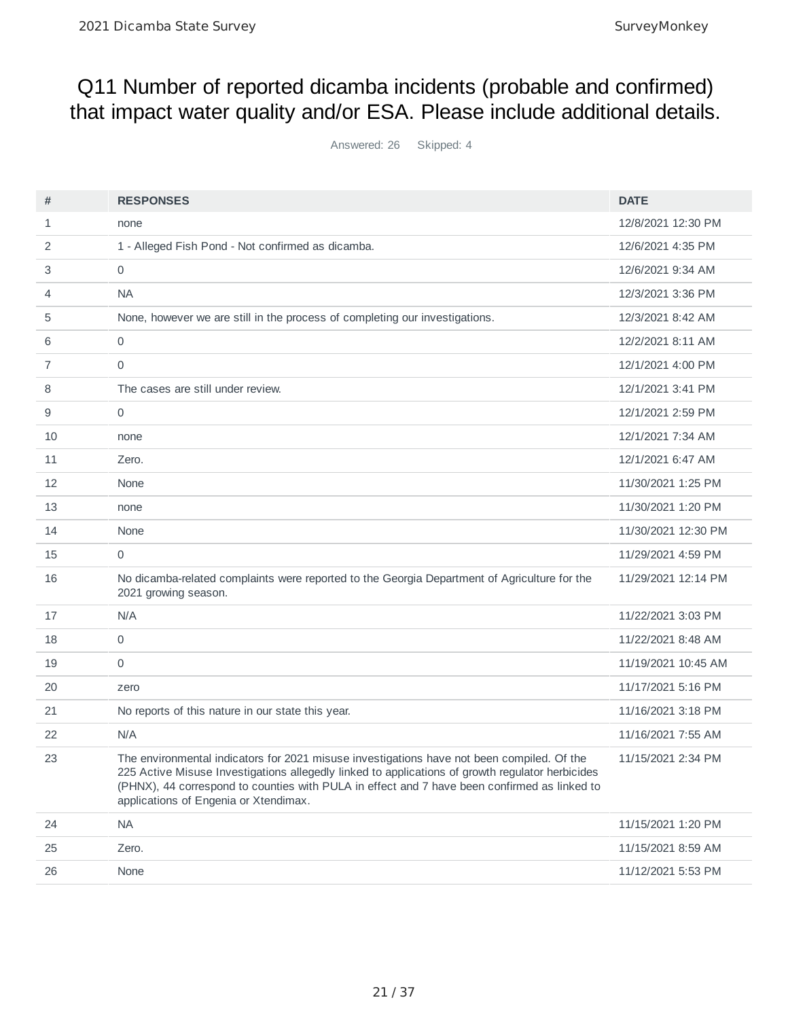## Q11 Number of reported dicamba incidents (probable and confirmed) that impact water quality and/or ESA. Please include additional details.

Answered: 26 Skipped: 4

| #  | <b>RESPONSES</b>                                                                                                                                                                                                                                                                                                                        | <b>DATE</b>         |
|----|-----------------------------------------------------------------------------------------------------------------------------------------------------------------------------------------------------------------------------------------------------------------------------------------------------------------------------------------|---------------------|
| 1  | none                                                                                                                                                                                                                                                                                                                                    | 12/8/2021 12:30 PM  |
| 2  | 1 - Alleged Fish Pond - Not confirmed as dicamba.                                                                                                                                                                                                                                                                                       | 12/6/2021 4:35 PM   |
| 3  | $\mathbf 0$                                                                                                                                                                                                                                                                                                                             | 12/6/2021 9:34 AM   |
| 4  | <b>NA</b>                                                                                                                                                                                                                                                                                                                               | 12/3/2021 3:36 PM   |
| 5  | None, however we are still in the process of completing our investigations.                                                                                                                                                                                                                                                             | 12/3/2021 8:42 AM   |
| 6  | 0                                                                                                                                                                                                                                                                                                                                       | 12/2/2021 8:11 AM   |
| 7  | $\mathbf 0$                                                                                                                                                                                                                                                                                                                             | 12/1/2021 4:00 PM   |
| 8  | The cases are still under review.                                                                                                                                                                                                                                                                                                       | 12/1/2021 3:41 PM   |
| 9  | $\mathbf 0$                                                                                                                                                                                                                                                                                                                             | 12/1/2021 2:59 PM   |
| 10 | none                                                                                                                                                                                                                                                                                                                                    | 12/1/2021 7:34 AM   |
| 11 | Zero.                                                                                                                                                                                                                                                                                                                                   | 12/1/2021 6:47 AM   |
| 12 | None                                                                                                                                                                                                                                                                                                                                    | 11/30/2021 1:25 PM  |
| 13 | none                                                                                                                                                                                                                                                                                                                                    | 11/30/2021 1:20 PM  |
| 14 | None                                                                                                                                                                                                                                                                                                                                    | 11/30/2021 12:30 PM |
| 15 | 0                                                                                                                                                                                                                                                                                                                                       | 11/29/2021 4:59 PM  |
| 16 | No dicamba-related complaints were reported to the Georgia Department of Agriculture for the<br>2021 growing season.                                                                                                                                                                                                                    | 11/29/2021 12:14 PM |
| 17 | N/A                                                                                                                                                                                                                                                                                                                                     | 11/22/2021 3:03 PM  |
| 18 | $\mathbf 0$                                                                                                                                                                                                                                                                                                                             | 11/22/2021 8:48 AM  |
| 19 | 0                                                                                                                                                                                                                                                                                                                                       | 11/19/2021 10:45 AM |
| 20 | zero                                                                                                                                                                                                                                                                                                                                    | 11/17/2021 5:16 PM  |
| 21 | No reports of this nature in our state this year.                                                                                                                                                                                                                                                                                       | 11/16/2021 3:18 PM  |
| 22 | N/A                                                                                                                                                                                                                                                                                                                                     | 11/16/2021 7:55 AM  |
| 23 | The environmental indicators for 2021 misuse investigations have not been compiled. Of the<br>225 Active Misuse Investigations allegedly linked to applications of growth regulator herbicides<br>(PHNX), 44 correspond to counties with PULA in effect and 7 have been confirmed as linked to<br>applications of Engenia or Xtendimax. | 11/15/2021 2:34 PM  |
| 24 | <b>NA</b>                                                                                                                                                                                                                                                                                                                               | 11/15/2021 1:20 PM  |
| 25 | Zero.                                                                                                                                                                                                                                                                                                                                   | 11/15/2021 8:59 AM  |
| 26 | None                                                                                                                                                                                                                                                                                                                                    | 11/12/2021 5:53 PM  |
|    |                                                                                                                                                                                                                                                                                                                                         |                     |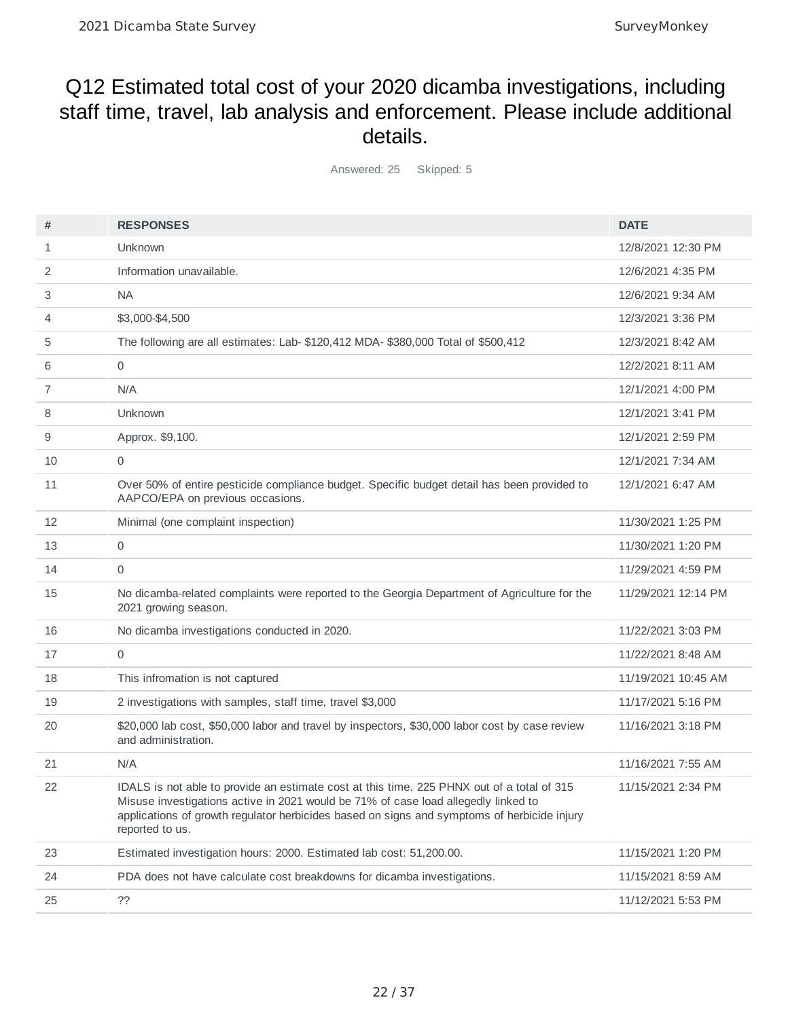### Q12 Estimated total cost of your 2020 dicamba investigations, including staff time, travel, lab analysis and enforcement. Please include additional details.

Answered: 25 Skipped: 5

| #  | <b>RESPONSES</b>                                                                                                                                                                                                                                                                                   | <b>DATE</b>         |
|----|----------------------------------------------------------------------------------------------------------------------------------------------------------------------------------------------------------------------------------------------------------------------------------------------------|---------------------|
| 1  | Unknown                                                                                                                                                                                                                                                                                            | 12/8/2021 12:30 PM  |
| 2  | Information unavailable.                                                                                                                                                                                                                                                                           | 12/6/2021 4:35 PM   |
| 3  | <b>NA</b>                                                                                                                                                                                                                                                                                          | 12/6/2021 9:34 AM   |
| 4  | \$3,000-\$4,500                                                                                                                                                                                                                                                                                    | 12/3/2021 3:36 PM   |
| 5  | The following are all estimates: Lab- \$120,412 MDA- \$380,000 Total of \$500,412                                                                                                                                                                                                                  | 12/3/2021 8:42 AM   |
| 6  | 0                                                                                                                                                                                                                                                                                                  | 12/2/2021 8:11 AM   |
| 7  | N/A                                                                                                                                                                                                                                                                                                | 12/1/2021 4:00 PM   |
| 8  | Unknown                                                                                                                                                                                                                                                                                            | 12/1/2021 3:41 PM   |
| 9  | Approx. \$9,100.                                                                                                                                                                                                                                                                                   | 12/1/2021 2:59 PM   |
| 10 | 0                                                                                                                                                                                                                                                                                                  | 12/1/2021 7:34 AM   |
| 11 | Over 50% of entire pesticide compliance budget. Specific budget detail has been provided to<br>AAPCO/EPA on previous occasions.                                                                                                                                                                    | 12/1/2021 6:47 AM   |
| 12 | Minimal (one complaint inspection)                                                                                                                                                                                                                                                                 | 11/30/2021 1:25 PM  |
| 13 | 0                                                                                                                                                                                                                                                                                                  | 11/30/2021 1:20 PM  |
| 14 | 0                                                                                                                                                                                                                                                                                                  | 11/29/2021 4:59 PM  |
| 15 | No dicamba-related complaints were reported to the Georgia Department of Agriculture for the<br>2021 growing season.                                                                                                                                                                               | 11/29/2021 12:14 PM |
| 16 | No dicamba investigations conducted in 2020.                                                                                                                                                                                                                                                       | 11/22/2021 3:03 PM  |
| 17 | 0                                                                                                                                                                                                                                                                                                  | 11/22/2021 8:48 AM  |
| 18 | This infromation is not captured                                                                                                                                                                                                                                                                   | 11/19/2021 10:45 AM |
| 19 | 2 investigations with samples, staff time, travel \$3,000                                                                                                                                                                                                                                          | 11/17/2021 5:16 PM  |
| 20 | \$20,000 lab cost, \$50,000 labor and travel by inspectors, \$30,000 labor cost by case review<br>and administration.                                                                                                                                                                              | 11/16/2021 3:18 PM  |
| 21 | N/A                                                                                                                                                                                                                                                                                                | 11/16/2021 7:55 AM  |
| 22 | IDALS is not able to provide an estimate cost at this time. 225 PHNX out of a total of 315<br>Misuse investigations active in 2021 would be 71% of case load allegedly linked to<br>applications of growth regulator herbicides based on signs and symptoms of herbicide injury<br>reported to us. | 11/15/2021 2:34 PM  |
| 23 | Estimated investigation hours: 2000. Estimated lab cost: 51,200.00.                                                                                                                                                                                                                                | 11/15/2021 1:20 PM  |
| 24 | PDA does not have calculate cost breakdowns for dicamba investigations.                                                                                                                                                                                                                            | 11/15/2021 8:59 AM  |
| 25 | ??                                                                                                                                                                                                                                                                                                 | 11/12/2021 5:53 PM  |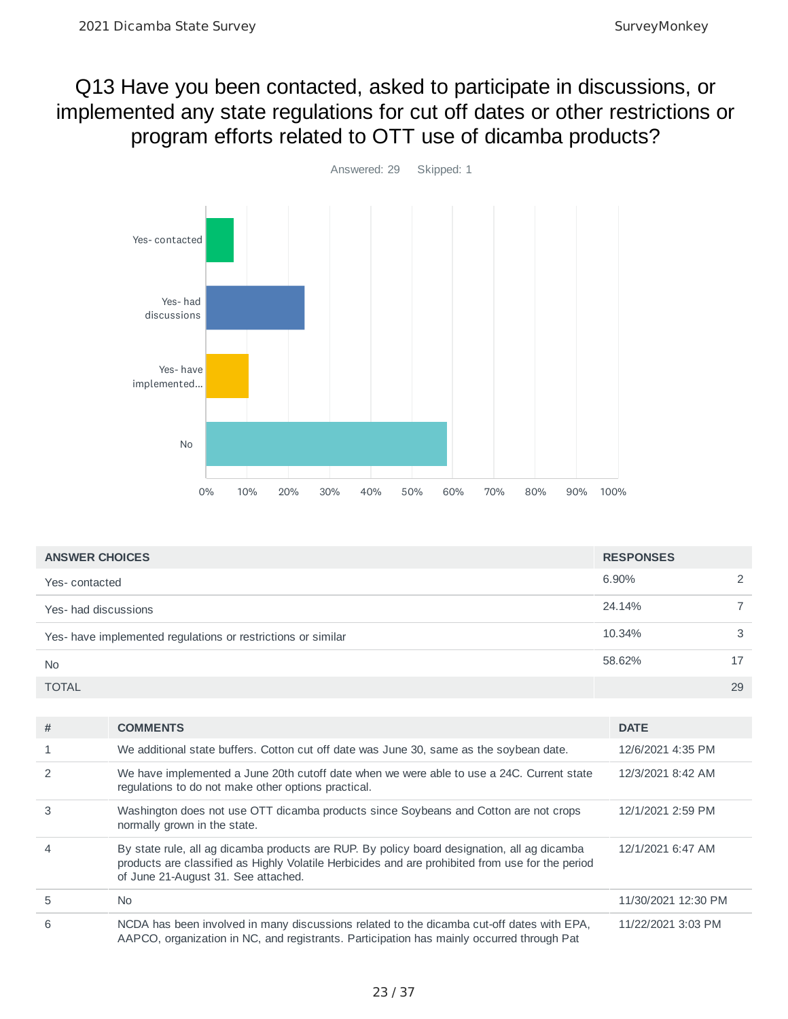### Q13 Have you been contacted, asked to participate in discussions, or implemented any state regulations for cut off dates or other restrictions or program efforts related to OTT use of dicamba products?



| <b>ANSWER CHOICES</b>                                        | <b>RESPONSES</b> |    |
|--------------------------------------------------------------|------------------|----|
| Yes-contacted                                                | 6.90%            |    |
| Yes- had discussions                                         | 24.14%           |    |
| Yes- have implemented regulations or restrictions or similar | 10.34%           | 3  |
| <b>No</b>                                                    | 58.62%           |    |
| <b>TOTAL</b>                                                 |                  | 29 |

| #              | <b>COMMENTS</b>                                                                                                                                                                                                                        | <b>DATE</b>         |
|----------------|----------------------------------------------------------------------------------------------------------------------------------------------------------------------------------------------------------------------------------------|---------------------|
|                | We additional state buffers. Cotton cut off date was June 30, same as the soybean date.                                                                                                                                                | 12/6/2021 4:35 PM   |
| $\mathcal{P}$  | We have implemented a June 20th cutoff date when we were able to use a 24C. Current state<br>regulations to do not make other options practical.                                                                                       | 12/3/2021 8:42 AM   |
| 3              | Washington does not use OTT dicamba products since Soybeans and Cotton are not crops<br>normally grown in the state.                                                                                                                   | 12/1/2021 2:59 PM   |
| $\overline{4}$ | By state rule, all ag dicamba products are RUP. By policy board designation, all ag dicamba<br>products are classified as Highly Volatile Herbicides and are prohibited from use for the period<br>of June 21-August 31. See attached. | 12/1/2021 6:47 AM   |
| 5              | <b>No</b>                                                                                                                                                                                                                              | 11/30/2021 12:30 PM |
| 6              | NCDA has been involved in many discussions related to the dicamba cut-off dates with EPA,<br>AAPCO, organization in NC, and registrants. Participation has mainly occurred through Pat                                                 | 11/22/2021 3:03 PM  |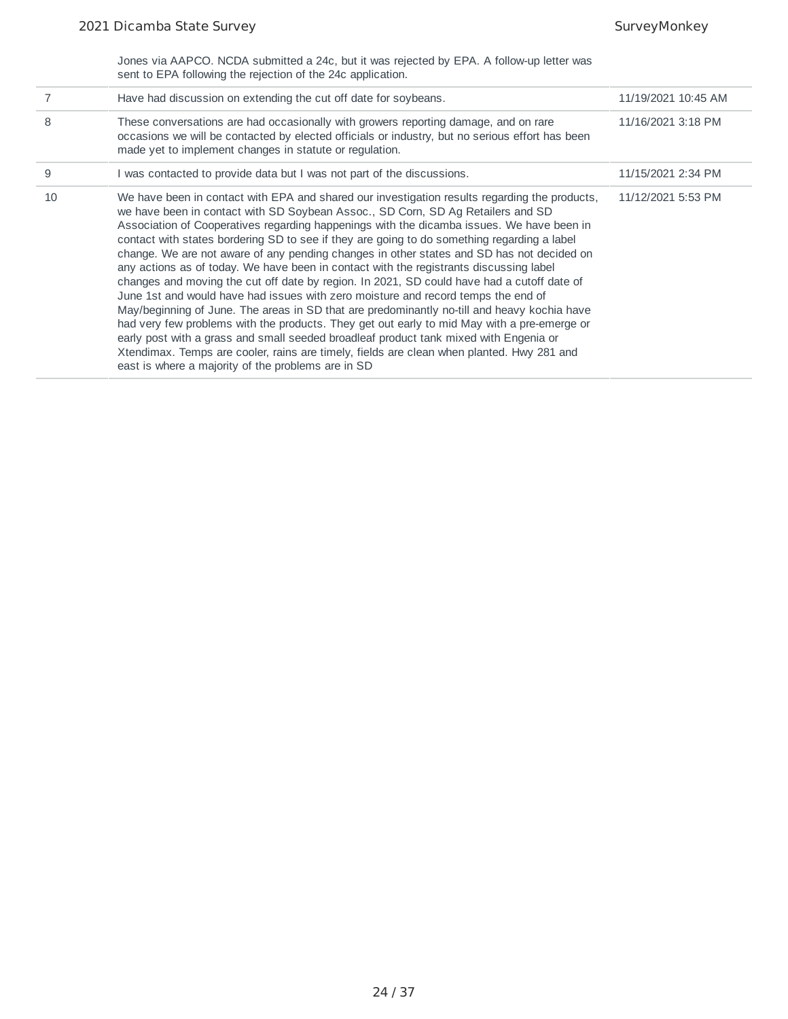Jones via AAPCO. NCDA submitted a 24c, but it was rejected by EPA. A follow-up letter was sent to EPA following the rejection of the 24c application.

|    | Have had discussion on extending the cut off date for soybeans.                                                                                                                                                                                                                                                                                                                                                                                                                                                                                                                                                                                                                                                                                                                                                                                                                                                                                                                                                                                                                                                                                                                                  | 11/19/2021 10:45 AM |
|----|--------------------------------------------------------------------------------------------------------------------------------------------------------------------------------------------------------------------------------------------------------------------------------------------------------------------------------------------------------------------------------------------------------------------------------------------------------------------------------------------------------------------------------------------------------------------------------------------------------------------------------------------------------------------------------------------------------------------------------------------------------------------------------------------------------------------------------------------------------------------------------------------------------------------------------------------------------------------------------------------------------------------------------------------------------------------------------------------------------------------------------------------------------------------------------------------------|---------------------|
| 8  | These conversations are had occasionally with growers reporting damage, and on rare<br>occasions we will be contacted by elected officials or industry, but no serious effort has been<br>made yet to implement changes in statute or regulation.                                                                                                                                                                                                                                                                                                                                                                                                                                                                                                                                                                                                                                                                                                                                                                                                                                                                                                                                                | 11/16/2021 3:18 PM  |
| 9  | I was contacted to provide data but I was not part of the discussions.                                                                                                                                                                                                                                                                                                                                                                                                                                                                                                                                                                                                                                                                                                                                                                                                                                                                                                                                                                                                                                                                                                                           | 11/15/2021 2:34 PM  |
| 10 | We have been in contact with EPA and shared our investigation results regarding the products,<br>we have been in contact with SD Soybean Assoc., SD Corn, SD Ag Retailers and SD<br>Association of Cooperatives regarding happenings with the dicamba issues. We have been in<br>contact with states bordering SD to see if they are going to do something regarding a label<br>change. We are not aware of any pending changes in other states and SD has not decided on<br>any actions as of today. We have been in contact with the registrants discussing label<br>changes and moving the cut off date by region. In 2021, SD could have had a cutoff date of<br>June 1st and would have had issues with zero moisture and record temps the end of<br>May/beginning of June. The areas in SD that are predominantly no-till and heavy kochia have<br>had very few problems with the products. They get out early to mid May with a pre-emerge or<br>early post with a grass and small seeded broadleaf product tank mixed with Engenia or<br>Xtendimax. Temps are cooler, rains are timely, fields are clean when planted. Hwy 281 and<br>east is where a majority of the problems are in SD | 11/12/2021 5:53 PM  |
|    |                                                                                                                                                                                                                                                                                                                                                                                                                                                                                                                                                                                                                                                                                                                                                                                                                                                                                                                                                                                                                                                                                                                                                                                                  |                     |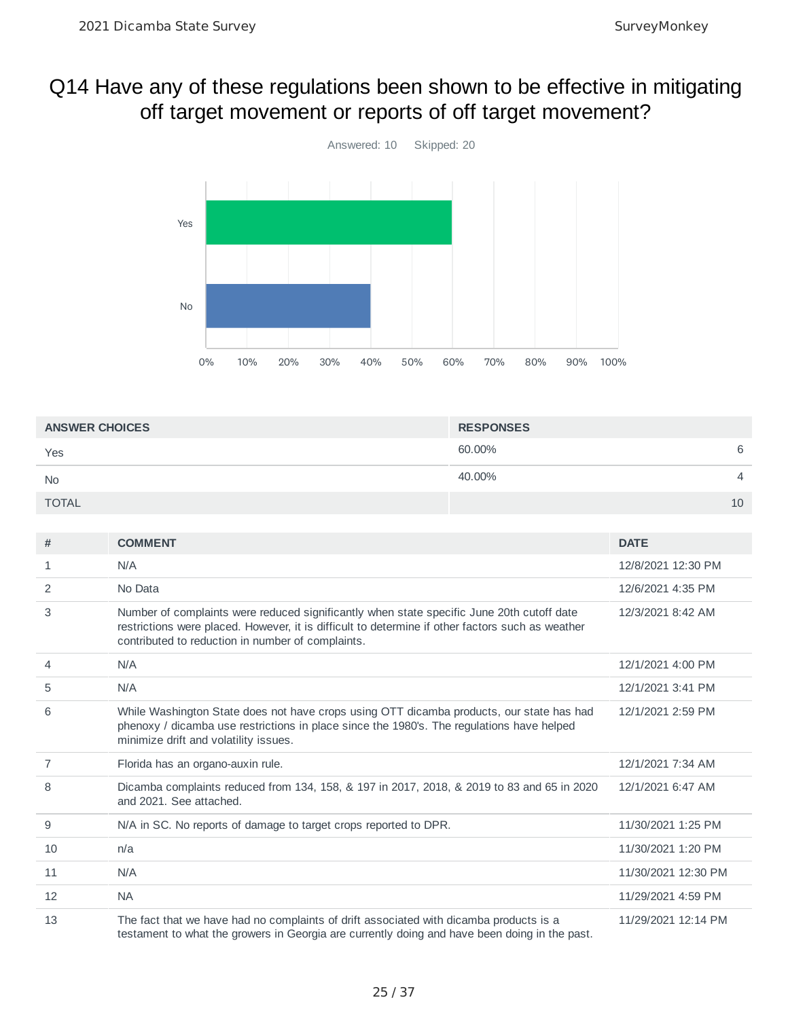## Q14 Have any of these regulations been shown to be effective in mitigating off target movement or reports of off target movement?



| <b>ANSWER CHOICES</b> | <b>RESPONSES</b> |                |
|-----------------------|------------------|----------------|
| Yes                   | 60.00%           | 6              |
| <b>No</b>             | 40.00%           | $\overline{4}$ |
| <b>TOTAL</b>          |                  | 10             |

| #  | <b>COMMENT</b>                                                                                                                                                                                                                                     | <b>DATE</b>         |
|----|----------------------------------------------------------------------------------------------------------------------------------------------------------------------------------------------------------------------------------------------------|---------------------|
| 1  | N/A                                                                                                                                                                                                                                                | 12/8/2021 12:30 PM  |
| 2  | No Data                                                                                                                                                                                                                                            | 12/6/2021 4:35 PM   |
| 3  | Number of complaints were reduced significantly when state specific June 20th cutoff date<br>restrictions were placed. However, it is difficult to determine if other factors such as weather<br>contributed to reduction in number of complaints. | 12/3/2021 8:42 AM   |
| 4  | N/A                                                                                                                                                                                                                                                | 12/1/2021 4:00 PM   |
| 5  | N/A                                                                                                                                                                                                                                                | 12/1/2021 3:41 PM   |
| 6  | While Washington State does not have crops using OTT dicamba products, our state has had<br>phenoxy / dicamba use restrictions in place since the 1980's. The regulations have helped<br>minimize drift and volatility issues.                     | 12/1/2021 2:59 PM   |
| 7  | Florida has an organo-auxin rule.                                                                                                                                                                                                                  | 12/1/2021 7:34 AM   |
| 8  | Dicamba complaints reduced from 134, 158, & 197 in 2017, 2018, & 2019 to 83 and 65 in 2020<br>and 2021. See attached.                                                                                                                              | 12/1/2021 6:47 AM   |
| 9  | N/A in SC. No reports of damage to target crops reported to DPR.                                                                                                                                                                                   | 11/30/2021 1:25 PM  |
| 10 | n/a                                                                                                                                                                                                                                                | 11/30/2021 1:20 PM  |
| 11 | N/A                                                                                                                                                                                                                                                | 11/30/2021 12:30 PM |
| 12 | <b>NA</b>                                                                                                                                                                                                                                          | 11/29/2021 4:59 PM  |
| 13 | The fact that we have had no complaints of drift associated with dicamba products is a<br>testament to what the growers in Georgia are currently doing and have been doing in the past.                                                            | 11/29/2021 12:14 PM |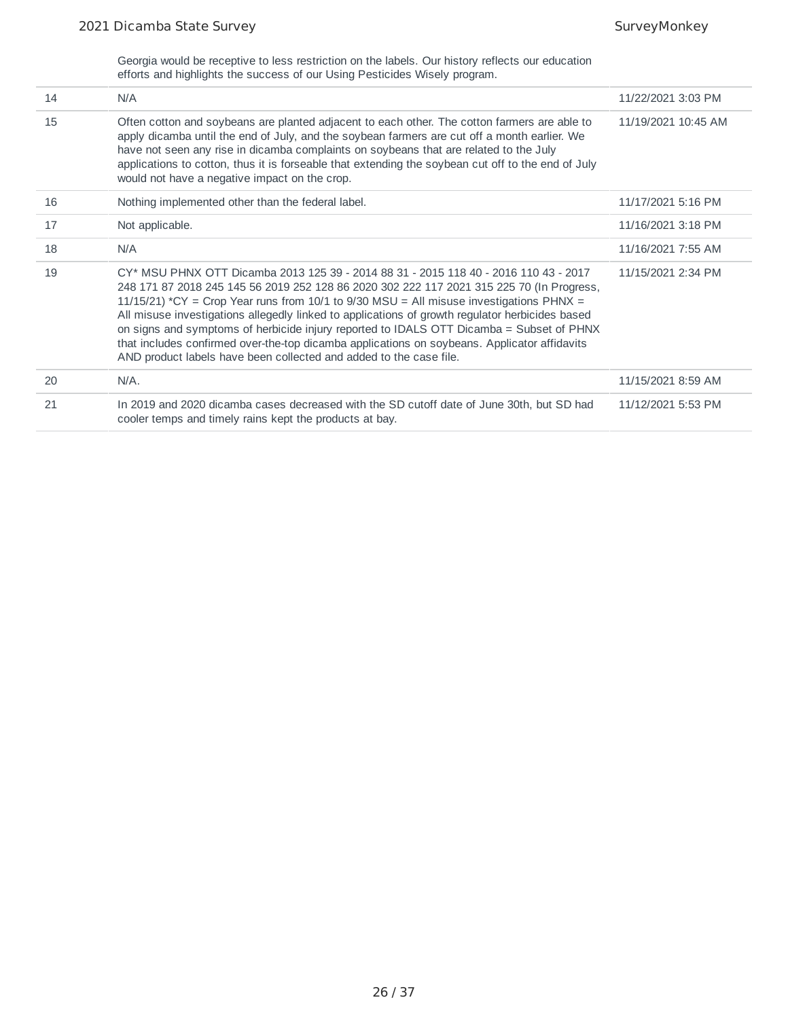Georgia would be receptive to less restriction on the labels. Our history reflects our education efforts and highlights the success of our Using Pesticides Wisely program.

| 14 | N/A                                                                                                                                                                                                                                                                                                                                                                                                                                                                                                                                                                                                                                               | 11/22/2021 3:03 PM  |
|----|---------------------------------------------------------------------------------------------------------------------------------------------------------------------------------------------------------------------------------------------------------------------------------------------------------------------------------------------------------------------------------------------------------------------------------------------------------------------------------------------------------------------------------------------------------------------------------------------------------------------------------------------------|---------------------|
| 15 | Often cotton and soybeans are planted adjacent to each other. The cotton farmers are able to<br>apply dicamba until the end of July, and the soybean farmers are cut off a month earlier. We<br>have not seen any rise in dicamba complaints on soybeans that are related to the July<br>applications to cotton, thus it is forseable that extending the soybean cut off to the end of July<br>would not have a negative impact on the crop.                                                                                                                                                                                                      | 11/19/2021 10:45 AM |
| 16 | Nothing implemented other than the federal label.                                                                                                                                                                                                                                                                                                                                                                                                                                                                                                                                                                                                 | 11/17/2021 5:16 PM  |
| 17 | Not applicable.                                                                                                                                                                                                                                                                                                                                                                                                                                                                                                                                                                                                                                   | 11/16/2021 3:18 PM  |
| 18 | N/A                                                                                                                                                                                                                                                                                                                                                                                                                                                                                                                                                                                                                                               | 11/16/2021 7:55 AM  |
| 19 | CY* MSU PHNX OTT Dicamba 2013 125 39 - 2014 88 31 - 2015 118 40 - 2016 110 43 - 2017<br>248 171 87 2018 245 145 56 2019 252 128 86 2020 302 222 117 2021 315 225 70 (In Progress,<br>11/15/21) *CY = Crop Year runs from 10/1 to 9/30 MSU = All misuse investigations PHNX =<br>All misuse investigations allegedly linked to applications of growth regulator herbicides based<br>on signs and symptoms of herbicide injury reported to IDALS OTT Dicamba = Subset of PHNX<br>that includes confirmed over-the-top dicamba applications on soybeans. Applicator affidavits<br>AND product labels have been collected and added to the case file. | 11/15/2021 2:34 PM  |
| 20 | N/A.                                                                                                                                                                                                                                                                                                                                                                                                                                                                                                                                                                                                                                              | 11/15/2021 8:59 AM  |
| 21 | In 2019 and 2020 dicamba cases decreased with the SD cutoff date of June 30th, but SD had<br>cooler temps and timely rains kept the products at bay.                                                                                                                                                                                                                                                                                                                                                                                                                                                                                              | 11/12/2021 5:53 PM  |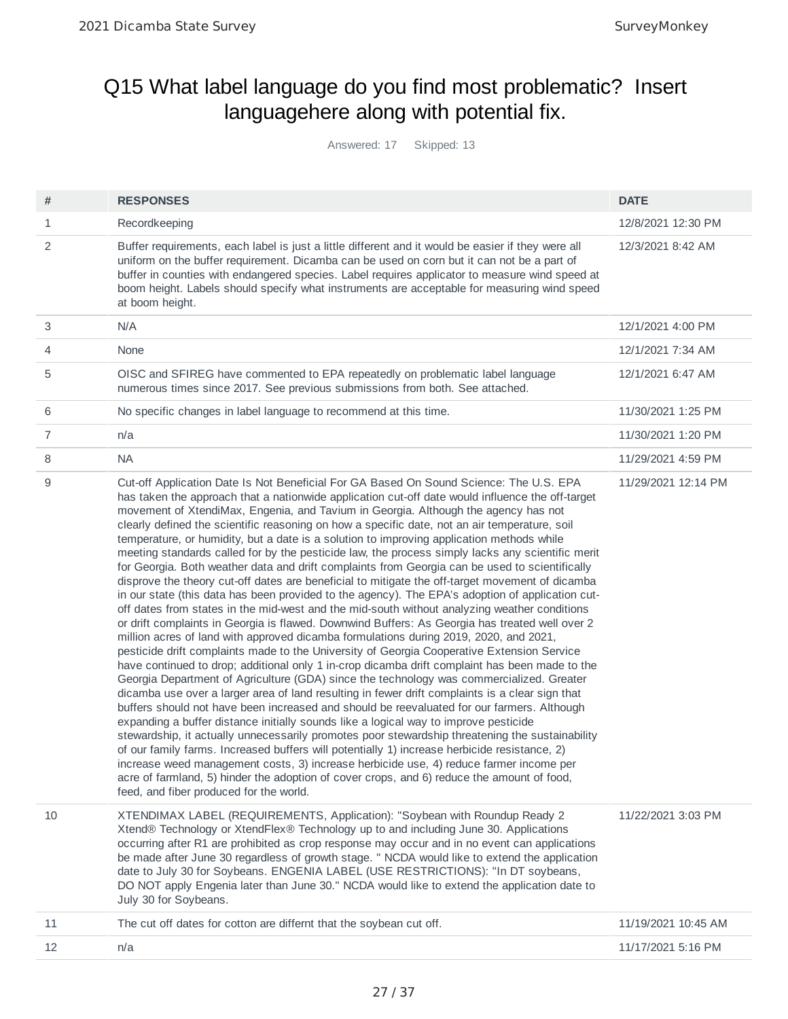## Q15 What label language do you find most problematic? Insert languagehere along with potential fix.

Answered: 17 Skipped: 13

| #            | <b>RESPONSES</b>                                                                                                                                                                                                                                                                                                                                                                                                                                                                                                                                                                                                                                                                                                                                                                                                                                                                                                                                                                                                                                                                                                                                                                                                                                                                                                                                                                                                                                                                                                                                                                                                                                                                                                                                                                                                                                                                                                                                                                                                                                                                                                                                                                                                  | <b>DATE</b>         |
|--------------|-------------------------------------------------------------------------------------------------------------------------------------------------------------------------------------------------------------------------------------------------------------------------------------------------------------------------------------------------------------------------------------------------------------------------------------------------------------------------------------------------------------------------------------------------------------------------------------------------------------------------------------------------------------------------------------------------------------------------------------------------------------------------------------------------------------------------------------------------------------------------------------------------------------------------------------------------------------------------------------------------------------------------------------------------------------------------------------------------------------------------------------------------------------------------------------------------------------------------------------------------------------------------------------------------------------------------------------------------------------------------------------------------------------------------------------------------------------------------------------------------------------------------------------------------------------------------------------------------------------------------------------------------------------------------------------------------------------------------------------------------------------------------------------------------------------------------------------------------------------------------------------------------------------------------------------------------------------------------------------------------------------------------------------------------------------------------------------------------------------------------------------------------------------------------------------------------------------------|---------------------|
| $\mathbf{1}$ | Recordkeeping                                                                                                                                                                                                                                                                                                                                                                                                                                                                                                                                                                                                                                                                                                                                                                                                                                                                                                                                                                                                                                                                                                                                                                                                                                                                                                                                                                                                                                                                                                                                                                                                                                                                                                                                                                                                                                                                                                                                                                                                                                                                                                                                                                                                     | 12/8/2021 12:30 PM  |
| 2            | Buffer requirements, each label is just a little different and it would be easier if they were all<br>uniform on the buffer requirement. Dicamba can be used on corn but it can not be a part of<br>buffer in counties with endangered species. Label requires applicator to measure wind speed at<br>boom height. Labels should specify what instruments are acceptable for measuring wind speed<br>at boom height.                                                                                                                                                                                                                                                                                                                                                                                                                                                                                                                                                                                                                                                                                                                                                                                                                                                                                                                                                                                                                                                                                                                                                                                                                                                                                                                                                                                                                                                                                                                                                                                                                                                                                                                                                                                              | 12/3/2021 8:42 AM   |
| 3            | N/A                                                                                                                                                                                                                                                                                                                                                                                                                                                                                                                                                                                                                                                                                                                                                                                                                                                                                                                                                                                                                                                                                                                                                                                                                                                                                                                                                                                                                                                                                                                                                                                                                                                                                                                                                                                                                                                                                                                                                                                                                                                                                                                                                                                                               | 12/1/2021 4:00 PM   |
| 4            | None                                                                                                                                                                                                                                                                                                                                                                                                                                                                                                                                                                                                                                                                                                                                                                                                                                                                                                                                                                                                                                                                                                                                                                                                                                                                                                                                                                                                                                                                                                                                                                                                                                                                                                                                                                                                                                                                                                                                                                                                                                                                                                                                                                                                              | 12/1/2021 7:34 AM   |
| 5            | OISC and SFIREG have commented to EPA repeatedly on problematic label language<br>numerous times since 2017. See previous submissions from both. See attached.                                                                                                                                                                                                                                                                                                                                                                                                                                                                                                                                                                                                                                                                                                                                                                                                                                                                                                                                                                                                                                                                                                                                                                                                                                                                                                                                                                                                                                                                                                                                                                                                                                                                                                                                                                                                                                                                                                                                                                                                                                                    | 12/1/2021 6:47 AM   |
| 6            | No specific changes in label language to recommend at this time.                                                                                                                                                                                                                                                                                                                                                                                                                                                                                                                                                                                                                                                                                                                                                                                                                                                                                                                                                                                                                                                                                                                                                                                                                                                                                                                                                                                                                                                                                                                                                                                                                                                                                                                                                                                                                                                                                                                                                                                                                                                                                                                                                  | 11/30/2021 1:25 PM  |
| 7            | n/a                                                                                                                                                                                                                                                                                                                                                                                                                                                                                                                                                                                                                                                                                                                                                                                                                                                                                                                                                                                                                                                                                                                                                                                                                                                                                                                                                                                                                                                                                                                                                                                                                                                                                                                                                                                                                                                                                                                                                                                                                                                                                                                                                                                                               | 11/30/2021 1:20 PM  |
| 8            | <b>NA</b>                                                                                                                                                                                                                                                                                                                                                                                                                                                                                                                                                                                                                                                                                                                                                                                                                                                                                                                                                                                                                                                                                                                                                                                                                                                                                                                                                                                                                                                                                                                                                                                                                                                                                                                                                                                                                                                                                                                                                                                                                                                                                                                                                                                                         | 11/29/2021 4:59 PM  |
| 9            | Cut-off Application Date Is Not Beneficial For GA Based On Sound Science: The U.S. EPA<br>has taken the approach that a nationwide application cut-off date would influence the off-target<br>movement of XtendiMax, Engenia, and Tavium in Georgia. Although the agency has not<br>clearly defined the scientific reasoning on how a specific date, not an air temperature, soil<br>temperature, or humidity, but a date is a solution to improving application methods while<br>meeting standards called for by the pesticide law, the process simply lacks any scientific merit<br>for Georgia. Both weather data and drift complaints from Georgia can be used to scientifically<br>disprove the theory cut-off dates are beneficial to mitigate the off-target movement of dicamba<br>in our state (this data has been provided to the agency). The EPA's adoption of application cut-<br>off dates from states in the mid-west and the mid-south without analyzing weather conditions<br>or drift complaints in Georgia is flawed. Downwind Buffers: As Georgia has treated well over 2<br>million acres of land with approved dicamba formulations during 2019, 2020, and 2021,<br>pesticide drift complaints made to the University of Georgia Cooperative Extension Service<br>have continued to drop; additional only 1 in-crop dicamba drift complaint has been made to the<br>Georgia Department of Agriculture (GDA) since the technology was commercialized. Greater<br>dicamba use over a larger area of land resulting in fewer drift complaints is a clear sign that<br>buffers should not have been increased and should be reevaluated for our farmers. Although<br>expanding a buffer distance initially sounds like a logical way to improve pesticide<br>stewardship, it actually unnecessarily promotes poor stewardship threatening the sustainability<br>of our family farms. Increased buffers will potentially 1) increase herbicide resistance, 2)<br>increase weed management costs, 3) increase herbicide use, 4) reduce farmer income per<br>acre of farmland, 5) hinder the adoption of cover crops, and 6) reduce the amount of food,<br>feed, and fiber produced for the world. | 11/29/2021 12:14 PM |
| 10           | XTENDIMAX LABEL (REQUIREMENTS, Application): "Soybean with Roundup Ready 2<br>Xtend® Technology or XtendFlex® Technology up to and including June 30. Applications<br>occurring after R1 are prohibited as crop response may occur and in no event can applications<br>be made after June 30 regardless of growth stage. " NCDA would like to extend the application<br>date to July 30 for Soybeans. ENGENIA LABEL (USE RESTRICTIONS): "In DT soybeans,<br>DO NOT apply Engenia later than June 30." NCDA would like to extend the application date to<br>July 30 for Soybeans.                                                                                                                                                                                                                                                                                                                                                                                                                                                                                                                                                                                                                                                                                                                                                                                                                                                                                                                                                                                                                                                                                                                                                                                                                                                                                                                                                                                                                                                                                                                                                                                                                                  | 11/22/2021 3:03 PM  |
| 11           | The cut off dates for cotton are differnt that the soybean cut off.                                                                                                                                                                                                                                                                                                                                                                                                                                                                                                                                                                                                                                                                                                                                                                                                                                                                                                                                                                                                                                                                                                                                                                                                                                                                                                                                                                                                                                                                                                                                                                                                                                                                                                                                                                                                                                                                                                                                                                                                                                                                                                                                               | 11/19/2021 10:45 AM |
| 12           | n/a                                                                                                                                                                                                                                                                                                                                                                                                                                                                                                                                                                                                                                                                                                                                                                                                                                                                                                                                                                                                                                                                                                                                                                                                                                                                                                                                                                                                                                                                                                                                                                                                                                                                                                                                                                                                                                                                                                                                                                                                                                                                                                                                                                                                               | 11/17/2021 5:16 PM  |
|              |                                                                                                                                                                                                                                                                                                                                                                                                                                                                                                                                                                                                                                                                                                                                                                                                                                                                                                                                                                                                                                                                                                                                                                                                                                                                                                                                                                                                                                                                                                                                                                                                                                                                                                                                                                                                                                                                                                                                                                                                                                                                                                                                                                                                                   |                     |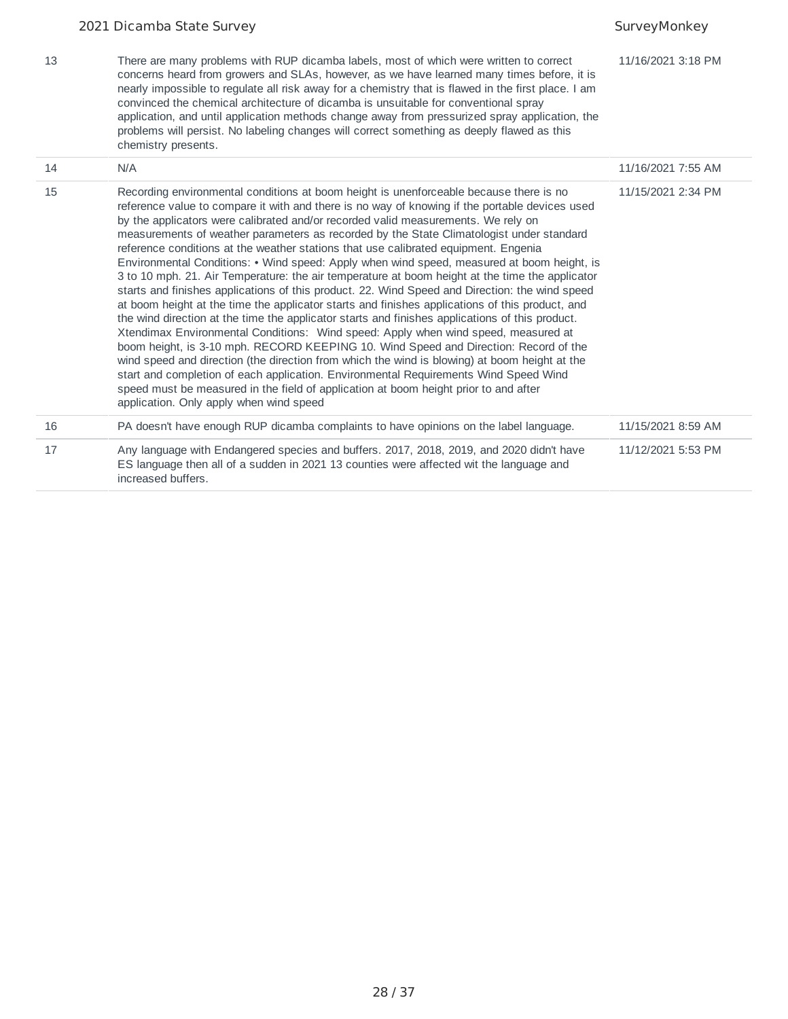| 13 | There are many problems with RUP dicamba labels, most of which were written to correct<br>concerns heard from growers and SLAs, however, as we have learned many times before, it is<br>nearly impossible to regulate all risk away for a chemistry that is flawed in the first place. I am<br>convinced the chemical architecture of dicamba is unsuitable for conventional spray<br>application, and until application methods change away from pressurized spray application, the<br>problems will persist. No labeling changes will correct something as deeply flawed as this<br>chemistry presents.                                                                                                                                                                                                                                                                                                                                                                                                                                                                                                                                                                                                                                                                                                                                                                                                                                                                           | 11/16/2021 3:18 PM |
|----|-------------------------------------------------------------------------------------------------------------------------------------------------------------------------------------------------------------------------------------------------------------------------------------------------------------------------------------------------------------------------------------------------------------------------------------------------------------------------------------------------------------------------------------------------------------------------------------------------------------------------------------------------------------------------------------------------------------------------------------------------------------------------------------------------------------------------------------------------------------------------------------------------------------------------------------------------------------------------------------------------------------------------------------------------------------------------------------------------------------------------------------------------------------------------------------------------------------------------------------------------------------------------------------------------------------------------------------------------------------------------------------------------------------------------------------------------------------------------------------|--------------------|
| 14 | N/A                                                                                                                                                                                                                                                                                                                                                                                                                                                                                                                                                                                                                                                                                                                                                                                                                                                                                                                                                                                                                                                                                                                                                                                                                                                                                                                                                                                                                                                                                 | 11/16/2021 7:55 AM |
| 15 | Recording environmental conditions at boom height is unenforceable because there is no<br>reference value to compare it with and there is no way of knowing if the portable devices used<br>by the applicators were calibrated and/or recorded valid measurements. We rely on<br>measurements of weather parameters as recorded by the State Climatologist under standard<br>reference conditions at the weather stations that use calibrated equipment. Engenia<br>Environmental Conditions: • Wind speed: Apply when wind speed, measured at boom height, is<br>3 to 10 mph. 21. Air Temperature: the air temperature at boom height at the time the applicator<br>starts and finishes applications of this product. 22. Wind Speed and Direction: the wind speed<br>at boom height at the time the applicator starts and finishes applications of this product, and<br>the wind direction at the time the applicator starts and finishes applications of this product.<br>Xtendimax Environmental Conditions: Wind speed: Apply when wind speed, measured at<br>boom height, is 3-10 mph. RECORD KEEPING 10. Wind Speed and Direction: Record of the<br>wind speed and direction (the direction from which the wind is blowing) at boom height at the<br>start and completion of each application. Environmental Requirements Wind Speed Wind<br>speed must be measured in the field of application at boom height prior to and after<br>application. Only apply when wind speed | 11/15/2021 2:34 PM |
| 16 | PA doesn't have enough RUP dicamba complaints to have opinions on the label language.                                                                                                                                                                                                                                                                                                                                                                                                                                                                                                                                                                                                                                                                                                                                                                                                                                                                                                                                                                                                                                                                                                                                                                                                                                                                                                                                                                                               | 11/15/2021 8:59 AM |
| 17 | Any language with Endangered species and buffers. 2017, 2018, 2019, and 2020 didn't have<br>ES language then all of a sudden in 2021 13 counties were affected wit the language and<br>increased buffers.                                                                                                                                                                                                                                                                                                                                                                                                                                                                                                                                                                                                                                                                                                                                                                                                                                                                                                                                                                                                                                                                                                                                                                                                                                                                           | 11/12/2021 5:53 PM |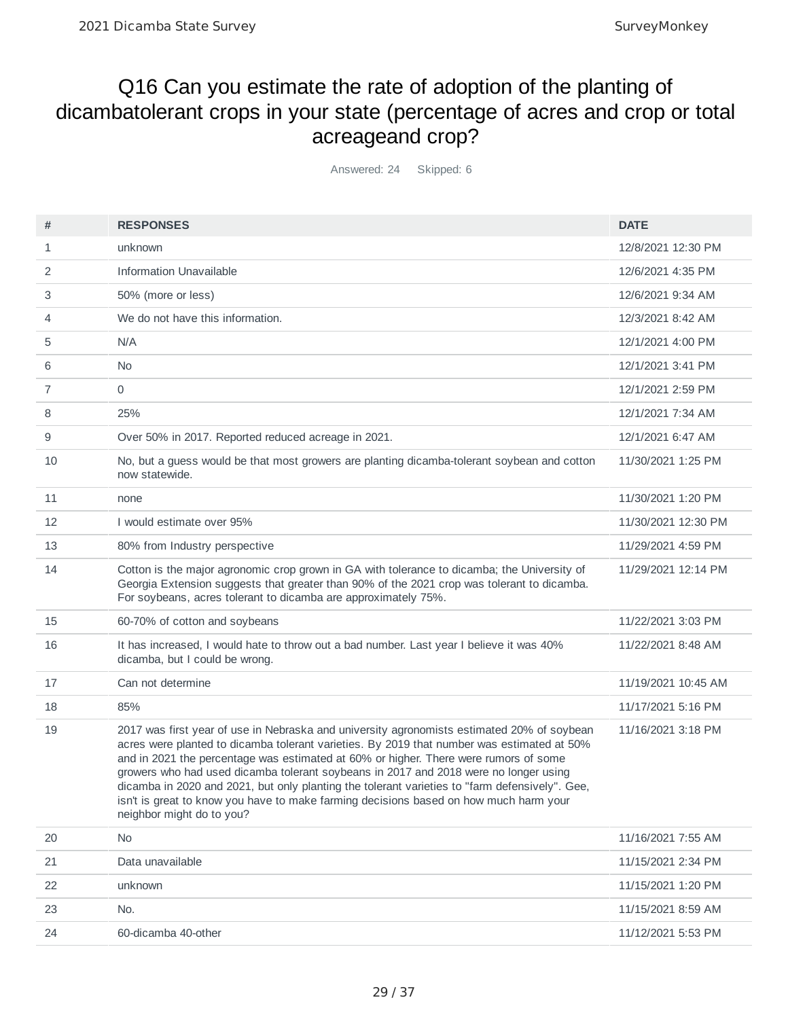## Q16 Can you estimate the rate of adoption of the planting of dicambatolerant crops in your state (percentage of acres and crop or total acreageand crop?

Answered: 24 Skipped: 6

| #  | <b>RESPONSES</b>                                                                                                                                                                                                                                                                                                                                                                                                                                                                                                                                                                                 | <b>DATE</b>         |
|----|--------------------------------------------------------------------------------------------------------------------------------------------------------------------------------------------------------------------------------------------------------------------------------------------------------------------------------------------------------------------------------------------------------------------------------------------------------------------------------------------------------------------------------------------------------------------------------------------------|---------------------|
| 1  | unknown                                                                                                                                                                                                                                                                                                                                                                                                                                                                                                                                                                                          | 12/8/2021 12:30 PM  |
| 2  | <b>Information Unavailable</b>                                                                                                                                                                                                                                                                                                                                                                                                                                                                                                                                                                   | 12/6/2021 4:35 PM   |
| 3  | 50% (more or less)                                                                                                                                                                                                                                                                                                                                                                                                                                                                                                                                                                               | 12/6/2021 9:34 AM   |
| 4  | We do not have this information.                                                                                                                                                                                                                                                                                                                                                                                                                                                                                                                                                                 | 12/3/2021 8:42 AM   |
| 5  | N/A                                                                                                                                                                                                                                                                                                                                                                                                                                                                                                                                                                                              | 12/1/2021 4:00 PM   |
| 6  | N <sub>0</sub>                                                                                                                                                                                                                                                                                                                                                                                                                                                                                                                                                                                   | 12/1/2021 3:41 PM   |
| 7  | 0                                                                                                                                                                                                                                                                                                                                                                                                                                                                                                                                                                                                | 12/1/2021 2:59 PM   |
| 8  | 25%                                                                                                                                                                                                                                                                                                                                                                                                                                                                                                                                                                                              | 12/1/2021 7:34 AM   |
| 9  | Over 50% in 2017. Reported reduced acreage in 2021.                                                                                                                                                                                                                                                                                                                                                                                                                                                                                                                                              | 12/1/2021 6:47 AM   |
| 10 | No, but a guess would be that most growers are planting dicamba-tolerant soybean and cotton<br>now statewide.                                                                                                                                                                                                                                                                                                                                                                                                                                                                                    | 11/30/2021 1:25 PM  |
| 11 | none                                                                                                                                                                                                                                                                                                                                                                                                                                                                                                                                                                                             | 11/30/2021 1:20 PM  |
| 12 | I would estimate over 95%                                                                                                                                                                                                                                                                                                                                                                                                                                                                                                                                                                        | 11/30/2021 12:30 PM |
| 13 | 80% from Industry perspective                                                                                                                                                                                                                                                                                                                                                                                                                                                                                                                                                                    | 11/29/2021 4:59 PM  |
| 14 | Cotton is the major agronomic crop grown in GA with tolerance to dicamba; the University of<br>Georgia Extension suggests that greater than 90% of the 2021 crop was tolerant to dicamba.<br>For soybeans, acres tolerant to dicamba are approximately 75%.                                                                                                                                                                                                                                                                                                                                      | 11/29/2021 12:14 PM |
| 15 | 60-70% of cotton and soybeans                                                                                                                                                                                                                                                                                                                                                                                                                                                                                                                                                                    | 11/22/2021 3:03 PM  |
| 16 | It has increased, I would hate to throw out a bad number. Last year I believe it was 40%<br>dicamba, but I could be wrong.                                                                                                                                                                                                                                                                                                                                                                                                                                                                       | 11/22/2021 8:48 AM  |
| 17 | Can not determine                                                                                                                                                                                                                                                                                                                                                                                                                                                                                                                                                                                | 11/19/2021 10:45 AM |
| 18 | 85%                                                                                                                                                                                                                                                                                                                                                                                                                                                                                                                                                                                              | 11/17/2021 5:16 PM  |
| 19 | 2017 was first year of use in Nebraska and university agronomists estimated 20% of soybean<br>acres were planted to dicamba tolerant varieties. By 2019 that number was estimated at 50%<br>and in 2021 the percentage was estimated at 60% or higher. There were rumors of some<br>growers who had used dicamba tolerant soybeans in 2017 and 2018 were no longer using<br>dicamba in 2020 and 2021, but only planting the tolerant varieties to "farm defensively". Gee,<br>isn't is great to know you have to make farming decisions based on how much harm your<br>neighbor might do to you? | 11/16/2021 3:18 PM  |
| 20 | <b>No</b>                                                                                                                                                                                                                                                                                                                                                                                                                                                                                                                                                                                        | 11/16/2021 7:55 AM  |
| 21 | Data unavailable                                                                                                                                                                                                                                                                                                                                                                                                                                                                                                                                                                                 | 11/15/2021 2:34 PM  |
| 22 | unknown                                                                                                                                                                                                                                                                                                                                                                                                                                                                                                                                                                                          | 11/15/2021 1:20 PM  |
| 23 | No.                                                                                                                                                                                                                                                                                                                                                                                                                                                                                                                                                                                              | 11/15/2021 8:59 AM  |
| 24 | 60-dicamba 40-other                                                                                                                                                                                                                                                                                                                                                                                                                                                                                                                                                                              | 11/12/2021 5:53 PM  |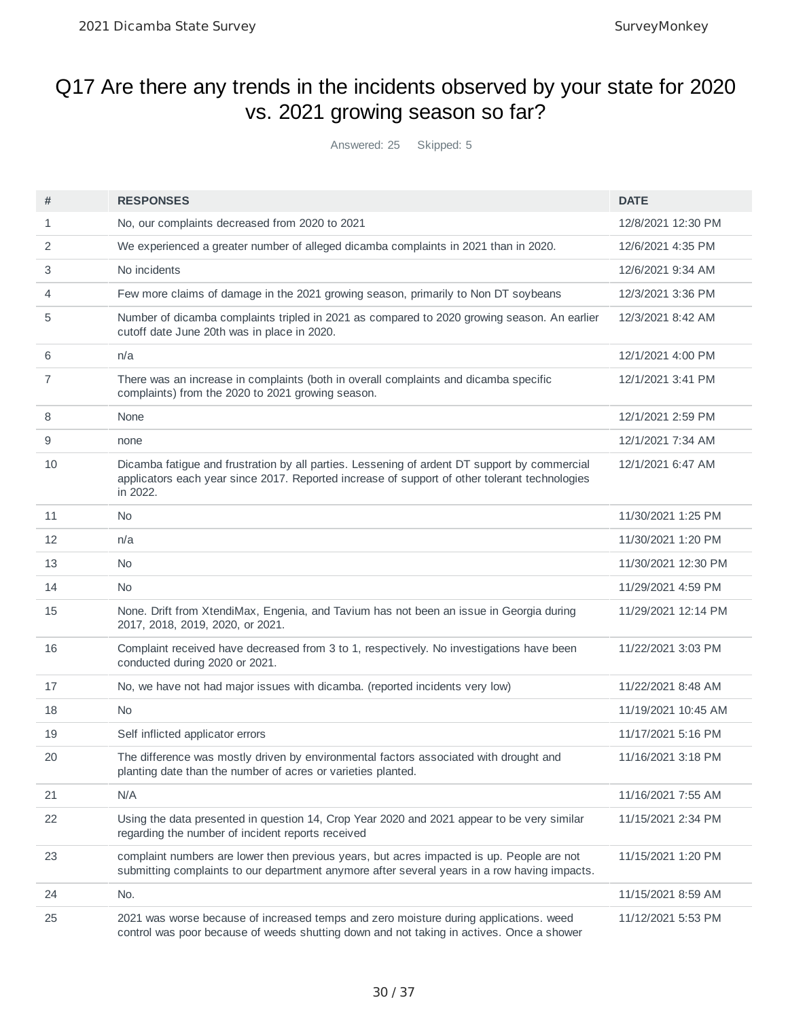## Q17 Are there any trends in the incidents observed by your state for 2020 vs. 2021 growing season so far?

Answered: 25 Skipped: 5

| #  | <b>RESPONSES</b>                                                                                                                                                                                          | <b>DATE</b>         |
|----|-----------------------------------------------------------------------------------------------------------------------------------------------------------------------------------------------------------|---------------------|
| 1  | No, our complaints decreased from 2020 to 2021                                                                                                                                                            | 12/8/2021 12:30 PM  |
| 2  | We experienced a greater number of alleged dicamba complaints in 2021 than in 2020.                                                                                                                       | 12/6/2021 4:35 PM   |
| 3  | No incidents                                                                                                                                                                                              | 12/6/2021 9:34 AM   |
| 4  | Few more claims of damage in the 2021 growing season, primarily to Non DT soybeans                                                                                                                        | 12/3/2021 3:36 PM   |
| 5  | Number of dicamba complaints tripled in 2021 as compared to 2020 growing season. An earlier<br>cutoff date June 20th was in place in 2020.                                                                | 12/3/2021 8:42 AM   |
| 6  | n/a                                                                                                                                                                                                       | 12/1/2021 4:00 PM   |
| 7  | There was an increase in complaints (both in overall complaints and dicamba specific<br>complaints) from the 2020 to 2021 growing season.                                                                 | 12/1/2021 3:41 PM   |
| 8  | None                                                                                                                                                                                                      | 12/1/2021 2:59 PM   |
| 9  | none                                                                                                                                                                                                      | 12/1/2021 7:34 AM   |
| 10 | Dicamba fatigue and frustration by all parties. Lessening of ardent DT support by commercial<br>applicators each year since 2017. Reported increase of support of other tolerant technologies<br>in 2022. | 12/1/2021 6:47 AM   |
| 11 | <b>No</b>                                                                                                                                                                                                 | 11/30/2021 1:25 PM  |
| 12 | n/a                                                                                                                                                                                                       | 11/30/2021 1:20 PM  |
| 13 | <b>No</b>                                                                                                                                                                                                 | 11/30/2021 12:30 PM |
| 14 | <b>No</b>                                                                                                                                                                                                 | 11/29/2021 4:59 PM  |
| 15 | None. Drift from XtendiMax, Engenia, and Tavium has not been an issue in Georgia during<br>2017, 2018, 2019, 2020, or 2021.                                                                               | 11/29/2021 12:14 PM |
| 16 | Complaint received have decreased from 3 to 1, respectively. No investigations have been<br>conducted during 2020 or 2021.                                                                                | 11/22/2021 3:03 PM  |
| 17 | No, we have not had major issues with dicamba. (reported incidents very low)                                                                                                                              | 11/22/2021 8:48 AM  |
| 18 | <b>No</b>                                                                                                                                                                                                 | 11/19/2021 10:45 AM |
| 19 | Self inflicted applicator errors                                                                                                                                                                          | 11/17/2021 5:16 PM  |
| 20 | The difference was mostly driven by environmental factors associated with drought and<br>planting date than the number of acres or varieties planted.                                                     | 11/16/2021 3:18 PM  |
| 21 | N/A                                                                                                                                                                                                       | 11/16/2021 7:55 AM  |
| 22 | Using the data presented in question 14, Crop Year 2020 and 2021 appear to be very similar<br>regarding the number of incident reports received                                                           | 11/15/2021 2:34 PM  |
| 23 | complaint numbers are lower then previous years, but acres impacted is up. People are not<br>submitting complaints to our department anymore after several years in a row having impacts.                 | 11/15/2021 1:20 PM  |
| 24 | No.                                                                                                                                                                                                       | 11/15/2021 8:59 AM  |
| 25 | 2021 was worse because of increased temps and zero moisture during applications. weed<br>control was poor because of weeds shutting down and not taking in actives. Once a shower                         | 11/12/2021 5:53 PM  |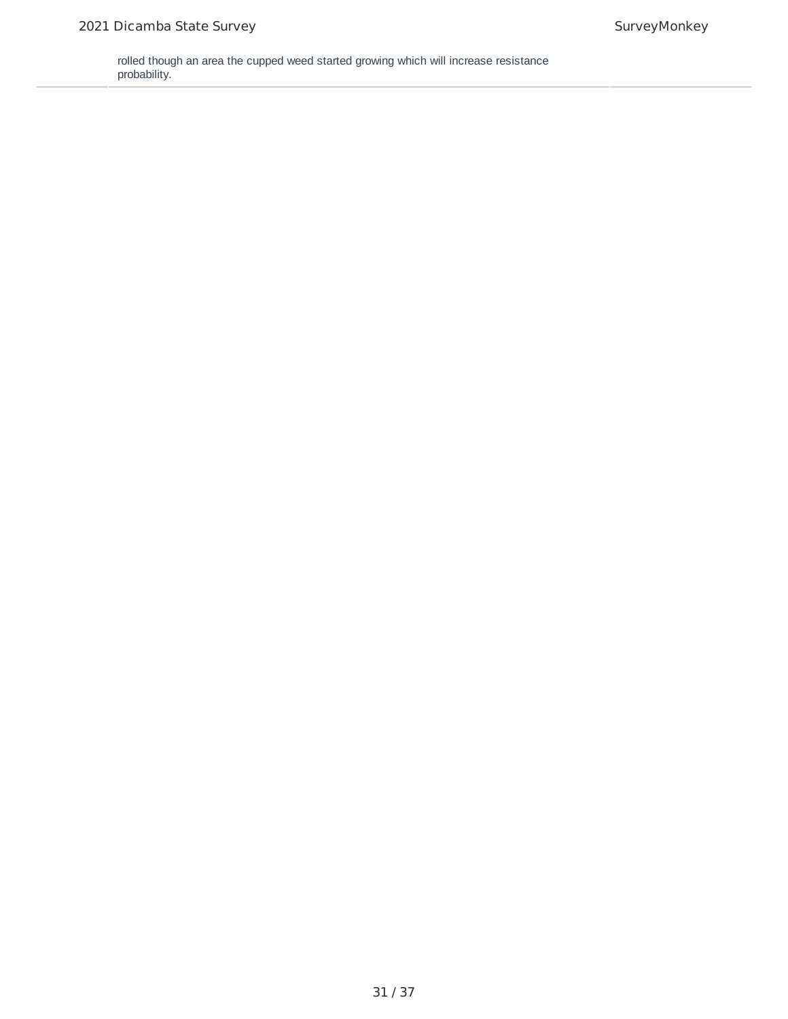rolled though an area the cupped weed started growing which will increase resistance probability.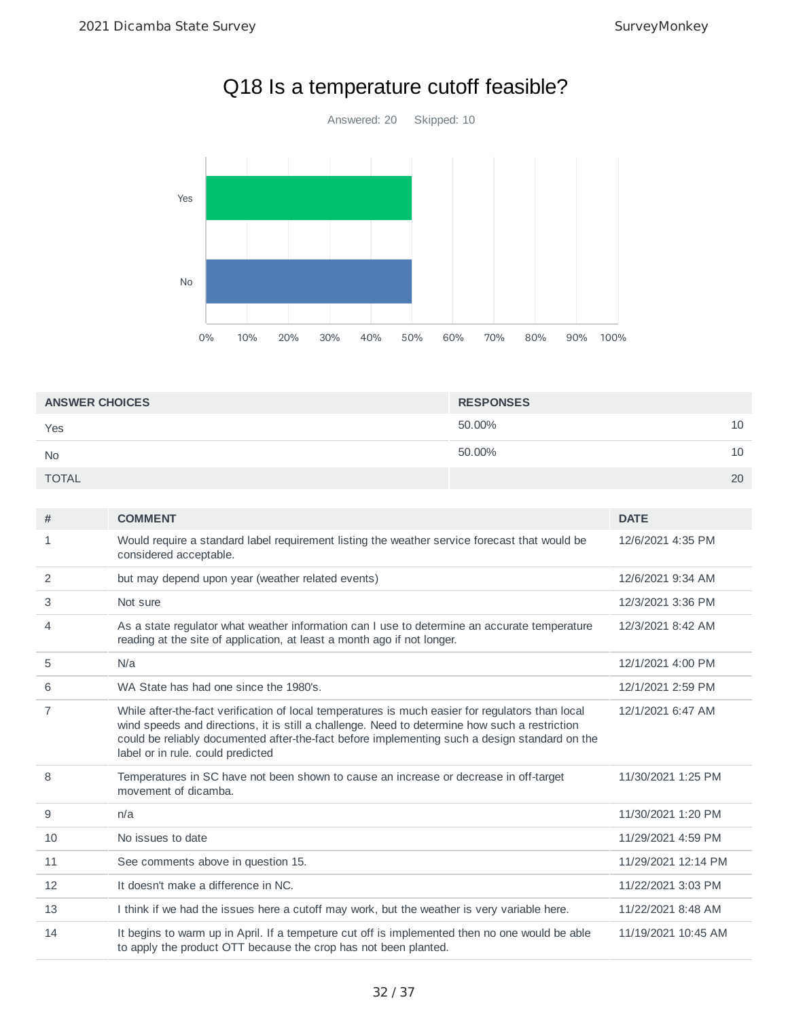

# Q18 Is a temperature cutoff feasible?

| <b>ANSWER CHOICES</b> | <b>RESPONSES</b> |    |
|-----------------------|------------------|----|
| Yes                   | 50.00%           | 10 |
| <b>No</b>             | 50.00%           | 10 |
| <b>TOTAL</b>          |                  | 20 |

| #  | <b>COMMENT</b>                                                                                                                                                                                                                                                                                                                          | <b>DATE</b>         |
|----|-----------------------------------------------------------------------------------------------------------------------------------------------------------------------------------------------------------------------------------------------------------------------------------------------------------------------------------------|---------------------|
| 1  | Would require a standard label requirement listing the weather service forecast that would be<br>considered acceptable.                                                                                                                                                                                                                 | 12/6/2021 4:35 PM   |
| 2  | but may depend upon year (weather related events)                                                                                                                                                                                                                                                                                       | 12/6/2021 9:34 AM   |
| 3  | Not sure                                                                                                                                                                                                                                                                                                                                | 12/3/2021 3:36 PM   |
| 4  | As a state regulator what weather information can I use to determine an accurate temperature<br>reading at the site of application, at least a month ago if not longer.                                                                                                                                                                 | 12/3/2021 8:42 AM   |
| 5  | N/a                                                                                                                                                                                                                                                                                                                                     | 12/1/2021 4:00 PM   |
| 6  | WA State has had one since the 1980's.                                                                                                                                                                                                                                                                                                  | 12/1/2021 2:59 PM   |
| 7  | While after-the-fact verification of local temperatures is much easier for regulators than local<br>wind speeds and directions, it is still a challenge. Need to determine how such a restriction<br>could be reliably documented after-the-fact before implementing such a design standard on the<br>label or in rule. could predicted | 12/1/2021 6:47 AM   |
| 8  | Temperatures in SC have not been shown to cause an increase or decrease in off-target<br>movement of dicamba.                                                                                                                                                                                                                           | 11/30/2021 1:25 PM  |
| 9  | n/a                                                                                                                                                                                                                                                                                                                                     | 11/30/2021 1:20 PM  |
| 10 | No issues to date                                                                                                                                                                                                                                                                                                                       | 11/29/2021 4:59 PM  |
| 11 | See comments above in question 15.                                                                                                                                                                                                                                                                                                      | 11/29/2021 12:14 PM |
| 12 | It doesn't make a difference in NC.                                                                                                                                                                                                                                                                                                     | 11/22/2021 3:03 PM  |
| 13 | I think if we had the issues here a cutoff may work, but the weather is very variable here.                                                                                                                                                                                                                                             | 11/22/2021 8:48 AM  |
| 14 | It begins to warm up in April. If a tempeture cut off is implemented then no one would be able<br>to apply the product OTT because the crop has not been planted.                                                                                                                                                                       | 11/19/2021 10:45 AM |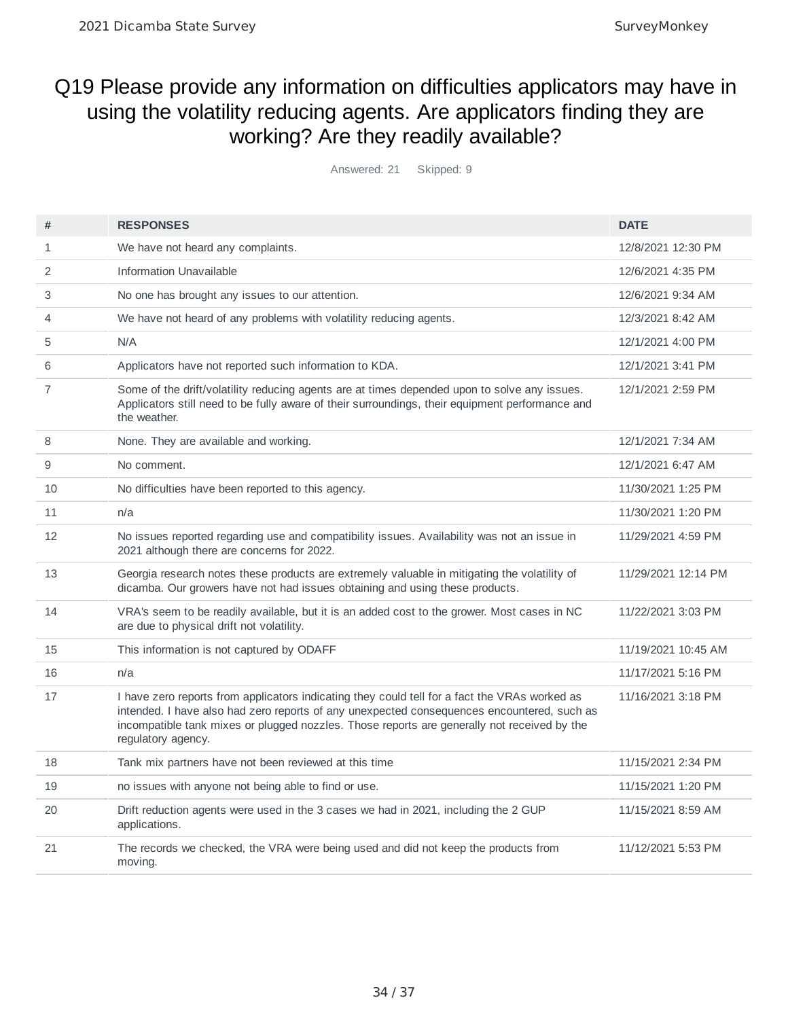## Q19 Please provide any information on difficulties applicators may have in using the volatility reducing agents. Are applicators finding they are working? Are they readily available?

Answered: 21 Skipped: 9

| #              | <b>RESPONSES</b>                                                                                                                                                                                                                                                                                                 | <b>DATE</b>         |
|----------------|------------------------------------------------------------------------------------------------------------------------------------------------------------------------------------------------------------------------------------------------------------------------------------------------------------------|---------------------|
| 1              | We have not heard any complaints.                                                                                                                                                                                                                                                                                | 12/8/2021 12:30 PM  |
| $\overline{2}$ | Information Unavailable                                                                                                                                                                                                                                                                                          | 12/6/2021 4:35 PM   |
| 3              | No one has brought any issues to our attention.                                                                                                                                                                                                                                                                  | 12/6/2021 9:34 AM   |
| 4              | We have not heard of any problems with volatility reducing agents.                                                                                                                                                                                                                                               | 12/3/2021 8:42 AM   |
| 5              | N/A                                                                                                                                                                                                                                                                                                              | 12/1/2021 4:00 PM   |
| 6              | Applicators have not reported such information to KDA.                                                                                                                                                                                                                                                           | 12/1/2021 3:41 PM   |
| $\overline{7}$ | Some of the drift/volatility reducing agents are at times depended upon to solve any issues.<br>Applicators still need to be fully aware of their surroundings, their equipment performance and<br>the weather.                                                                                                  | 12/1/2021 2:59 PM   |
| 8              | None. They are available and working.                                                                                                                                                                                                                                                                            | 12/1/2021 7:34 AM   |
| 9              | No comment.                                                                                                                                                                                                                                                                                                      | 12/1/2021 6:47 AM   |
| 10             | No difficulties have been reported to this agency.                                                                                                                                                                                                                                                               | 11/30/2021 1:25 PM  |
| 11             | n/a                                                                                                                                                                                                                                                                                                              | 11/30/2021 1:20 PM  |
| 12             | No issues reported regarding use and compatibility issues. Availability was not an issue in<br>2021 although there are concerns for 2022.                                                                                                                                                                        | 11/29/2021 4:59 PM  |
| 13             | Georgia research notes these products are extremely valuable in mitigating the volatility of<br>dicamba. Our growers have not had issues obtaining and using these products.                                                                                                                                     | 11/29/2021 12:14 PM |
| 14             | VRA's seem to be readily available, but it is an added cost to the grower. Most cases in NC<br>are due to physical drift not volatility.                                                                                                                                                                         | 11/22/2021 3:03 PM  |
| 15             | This information is not captured by ODAFF                                                                                                                                                                                                                                                                        | 11/19/2021 10:45 AM |
| 16             | n/a                                                                                                                                                                                                                                                                                                              | 11/17/2021 5:16 PM  |
| 17             | I have zero reports from applicators indicating they could tell for a fact the VRAs worked as<br>intended. I have also had zero reports of any unexpected consequences encountered, such as<br>incompatible tank mixes or plugged nozzles. Those reports are generally not received by the<br>regulatory agency. | 11/16/2021 3:18 PM  |
| 18             | Tank mix partners have not been reviewed at this time                                                                                                                                                                                                                                                            | 11/15/2021 2:34 PM  |
| 19             | no issues with anyone not being able to find or use.                                                                                                                                                                                                                                                             | 11/15/2021 1:20 PM  |
| 20             | Drift reduction agents were used in the 3 cases we had in 2021, including the 2 GUP<br>applications.                                                                                                                                                                                                             | 11/15/2021 8:59 AM  |
| 21             | The records we checked, the VRA were being used and did not keep the products from<br>moving.                                                                                                                                                                                                                    | 11/12/2021 5:53 PM  |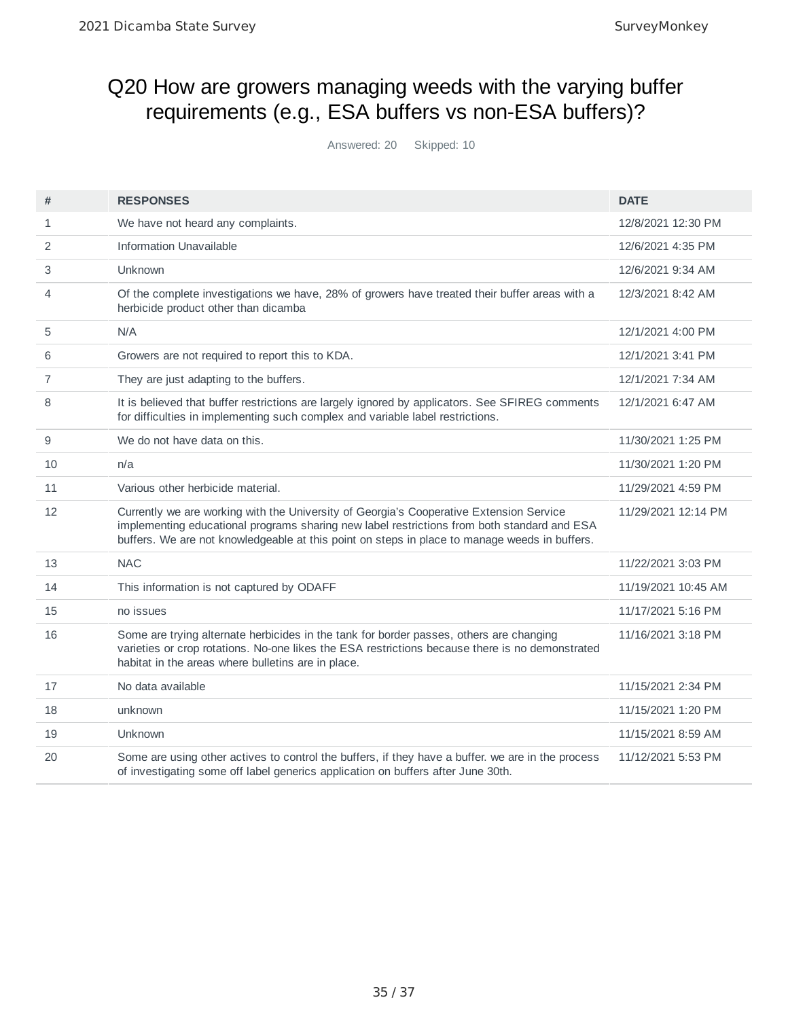## Q20 How are growers managing weeds with the varying buffer requirements (e.g., ESA buffers vs non-ESA buffers)?

Answered: 20 Skipped: 10

| #            | <b>RESPONSES</b>                                                                                                                                                                                                                                                                        | <b>DATE</b>         |
|--------------|-----------------------------------------------------------------------------------------------------------------------------------------------------------------------------------------------------------------------------------------------------------------------------------------|---------------------|
| $\mathbf{1}$ | We have not heard any complaints.                                                                                                                                                                                                                                                       | 12/8/2021 12:30 PM  |
| 2            | <b>Information Unavailable</b>                                                                                                                                                                                                                                                          | 12/6/2021 4:35 PM   |
| 3            | Unknown                                                                                                                                                                                                                                                                                 | 12/6/2021 9:34 AM   |
| 4            | Of the complete investigations we have, 28% of growers have treated their buffer areas with a<br>herbicide product other than dicamba                                                                                                                                                   | 12/3/2021 8:42 AM   |
| 5            | N/A                                                                                                                                                                                                                                                                                     | 12/1/2021 4:00 PM   |
| 6            | Growers are not required to report this to KDA.                                                                                                                                                                                                                                         | 12/1/2021 3:41 PM   |
| 7            | They are just adapting to the buffers.                                                                                                                                                                                                                                                  | 12/1/2021 7:34 AM   |
| 8            | It is believed that buffer restrictions are largely ignored by applicators. See SFIREG comments<br>for difficulties in implementing such complex and variable label restrictions.                                                                                                       | 12/1/2021 6:47 AM   |
| 9            | We do not have data on this.                                                                                                                                                                                                                                                            | 11/30/2021 1:25 PM  |
| 10           | n/a                                                                                                                                                                                                                                                                                     | 11/30/2021 1:20 PM  |
| 11           | Various other herbicide material.                                                                                                                                                                                                                                                       | 11/29/2021 4:59 PM  |
| 12           | Currently we are working with the University of Georgia's Cooperative Extension Service<br>implementing educational programs sharing new label restrictions from both standard and ESA<br>buffers. We are not knowledgeable at this point on steps in place to manage weeds in buffers. | 11/29/2021 12:14 PM |
| 13           | <b>NAC</b>                                                                                                                                                                                                                                                                              | 11/22/2021 3:03 PM  |
| 14           | This information is not captured by ODAFF                                                                                                                                                                                                                                               | 11/19/2021 10:45 AM |
| 15           | no issues                                                                                                                                                                                                                                                                               | 11/17/2021 5:16 PM  |
| 16           | Some are trying alternate herbicides in the tank for border passes, others are changing<br>varieties or crop rotations. No-one likes the ESA restrictions because there is no demonstrated<br>habitat in the areas where bulletins are in place.                                        | 11/16/2021 3:18 PM  |
| 17           | No data available                                                                                                                                                                                                                                                                       | 11/15/2021 2:34 PM  |
| 18           | unknown                                                                                                                                                                                                                                                                                 | 11/15/2021 1:20 PM  |
| 19           | Unknown                                                                                                                                                                                                                                                                                 | 11/15/2021 8:59 AM  |
| 20           | Some are using other actives to control the buffers, if they have a buffer. we are in the process<br>of investigating some off label generics application on buffers after June 30th.                                                                                                   | 11/12/2021 5:53 PM  |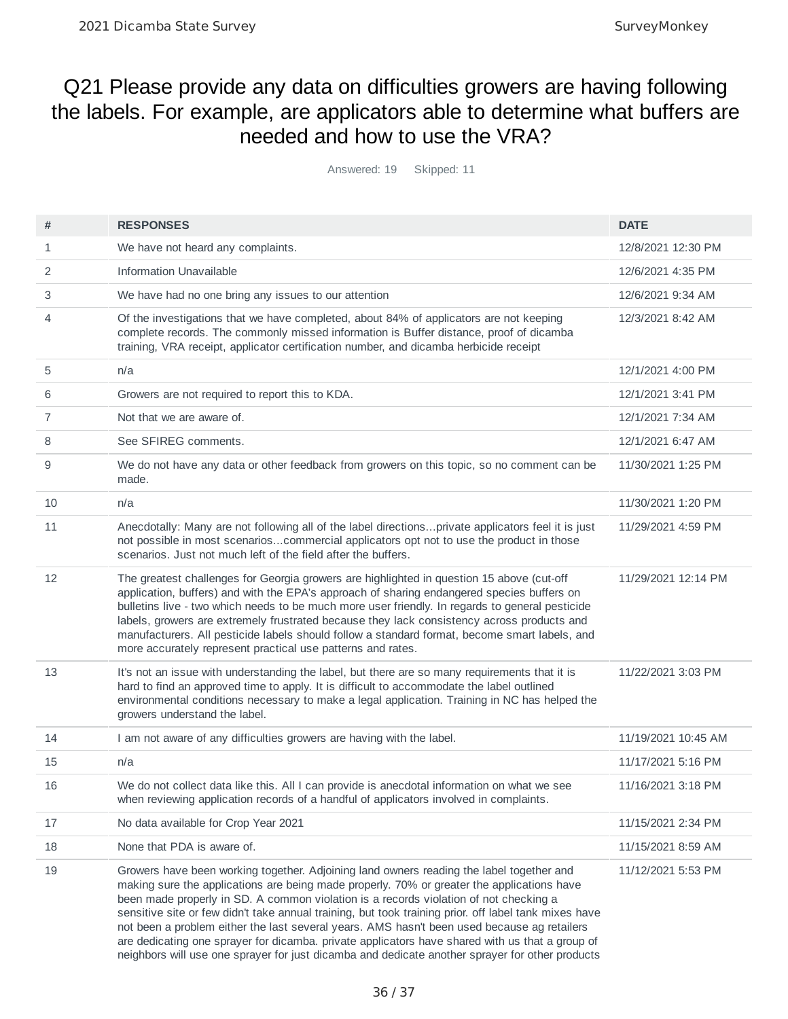### Q21 Please provide any data on difficulties growers are having following the labels. For example, are applicators able to determine what buffers are needed and how to use the VRA?

Answered: 19 Skipped: 11

| #  | <b>RESPONSES</b>                                                                                                                                                                                                                                                                                                                                                                                                                                                                                                                                                                                                                                                                              | <b>DATE</b>         |
|----|-----------------------------------------------------------------------------------------------------------------------------------------------------------------------------------------------------------------------------------------------------------------------------------------------------------------------------------------------------------------------------------------------------------------------------------------------------------------------------------------------------------------------------------------------------------------------------------------------------------------------------------------------------------------------------------------------|---------------------|
| 1  | We have not heard any complaints.                                                                                                                                                                                                                                                                                                                                                                                                                                                                                                                                                                                                                                                             | 12/8/2021 12:30 PM  |
| 2  | <b>Information Unavailable</b>                                                                                                                                                                                                                                                                                                                                                                                                                                                                                                                                                                                                                                                                | 12/6/2021 4:35 PM   |
| 3  | We have had no one bring any issues to our attention                                                                                                                                                                                                                                                                                                                                                                                                                                                                                                                                                                                                                                          | 12/6/2021 9:34 AM   |
| 4  | Of the investigations that we have completed, about 84% of applicators are not keeping<br>complete records. The commonly missed information is Buffer distance, proof of dicamba<br>training, VRA receipt, applicator certification number, and dicamba herbicide receipt                                                                                                                                                                                                                                                                                                                                                                                                                     | 12/3/2021 8:42 AM   |
| 5  | n/a                                                                                                                                                                                                                                                                                                                                                                                                                                                                                                                                                                                                                                                                                           | 12/1/2021 4:00 PM   |
| 6  | Growers are not required to report this to KDA.                                                                                                                                                                                                                                                                                                                                                                                                                                                                                                                                                                                                                                               | 12/1/2021 3:41 PM   |
| 7  | Not that we are aware of.                                                                                                                                                                                                                                                                                                                                                                                                                                                                                                                                                                                                                                                                     | 12/1/2021 7:34 AM   |
| 8  | See SFIREG comments.                                                                                                                                                                                                                                                                                                                                                                                                                                                                                                                                                                                                                                                                          | 12/1/2021 6:47 AM   |
| 9  | We do not have any data or other feedback from growers on this topic, so no comment can be<br>made.                                                                                                                                                                                                                                                                                                                                                                                                                                                                                                                                                                                           | 11/30/2021 1:25 PM  |
| 10 | n/a                                                                                                                                                                                                                                                                                                                                                                                                                                                                                                                                                                                                                                                                                           | 11/30/2021 1:20 PM  |
| 11 | Anecdotally: Many are not following all of the label directionsprivate applicators feel it is just<br>not possible in most scenarioscommercial applicators opt not to use the product in those<br>scenarios. Just not much left of the field after the buffers.                                                                                                                                                                                                                                                                                                                                                                                                                               | 11/29/2021 4:59 PM  |
| 12 | The greatest challenges for Georgia growers are highlighted in question 15 above (cut-off<br>application, buffers) and with the EPA's approach of sharing endangered species buffers on<br>bulletins live - two which needs to be much more user friendly. In regards to general pesticide<br>labels, growers are extremely frustrated because they lack consistency across products and<br>manufacturers. All pesticide labels should follow a standard format, become smart labels, and<br>more accurately represent practical use patterns and rates.                                                                                                                                      | 11/29/2021 12:14 PM |
| 13 | It's not an issue with understanding the label, but there are so many requirements that it is<br>hard to find an approved time to apply. It is difficult to accommodate the label outlined<br>environmental conditions necessary to make a legal application. Training in NC has helped the<br>growers understand the label.                                                                                                                                                                                                                                                                                                                                                                  | 11/22/2021 3:03 PM  |
| 14 | I am not aware of any difficulties growers are having with the label.                                                                                                                                                                                                                                                                                                                                                                                                                                                                                                                                                                                                                         | 11/19/2021 10:45 AM |
| 15 | n/a                                                                                                                                                                                                                                                                                                                                                                                                                                                                                                                                                                                                                                                                                           | 11/17/2021 5:16 PM  |
| 16 | We do not collect data like this. All I can provide is anecdotal information on what we see<br>when reviewing application records of a handful of applicators involved in complaints.                                                                                                                                                                                                                                                                                                                                                                                                                                                                                                         | 11/16/2021 3:18 PM  |
| 17 | No data available for Crop Year 2021                                                                                                                                                                                                                                                                                                                                                                                                                                                                                                                                                                                                                                                          | 11/15/2021 2:34 PM  |
| 18 | None that PDA is aware of.                                                                                                                                                                                                                                                                                                                                                                                                                                                                                                                                                                                                                                                                    | 11/15/2021 8:59 AM  |
| 19 | Growers have been working together. Adjoining land owners reading the label together and<br>making sure the applications are being made properly. 70% or greater the applications have<br>been made properly in SD. A common violation is a records violation of not checking a<br>sensitive site or few didn't take annual training, but took training prior. off label tank mixes have<br>not been a problem either the last several years. AMS hasn't been used because ag retailers<br>are dedicating one sprayer for dicamba. private applicators have shared with us that a group of<br>neighbors will use one sprayer for just dicamba and dedicate another sprayer for other products | 11/12/2021 5:53 PM  |